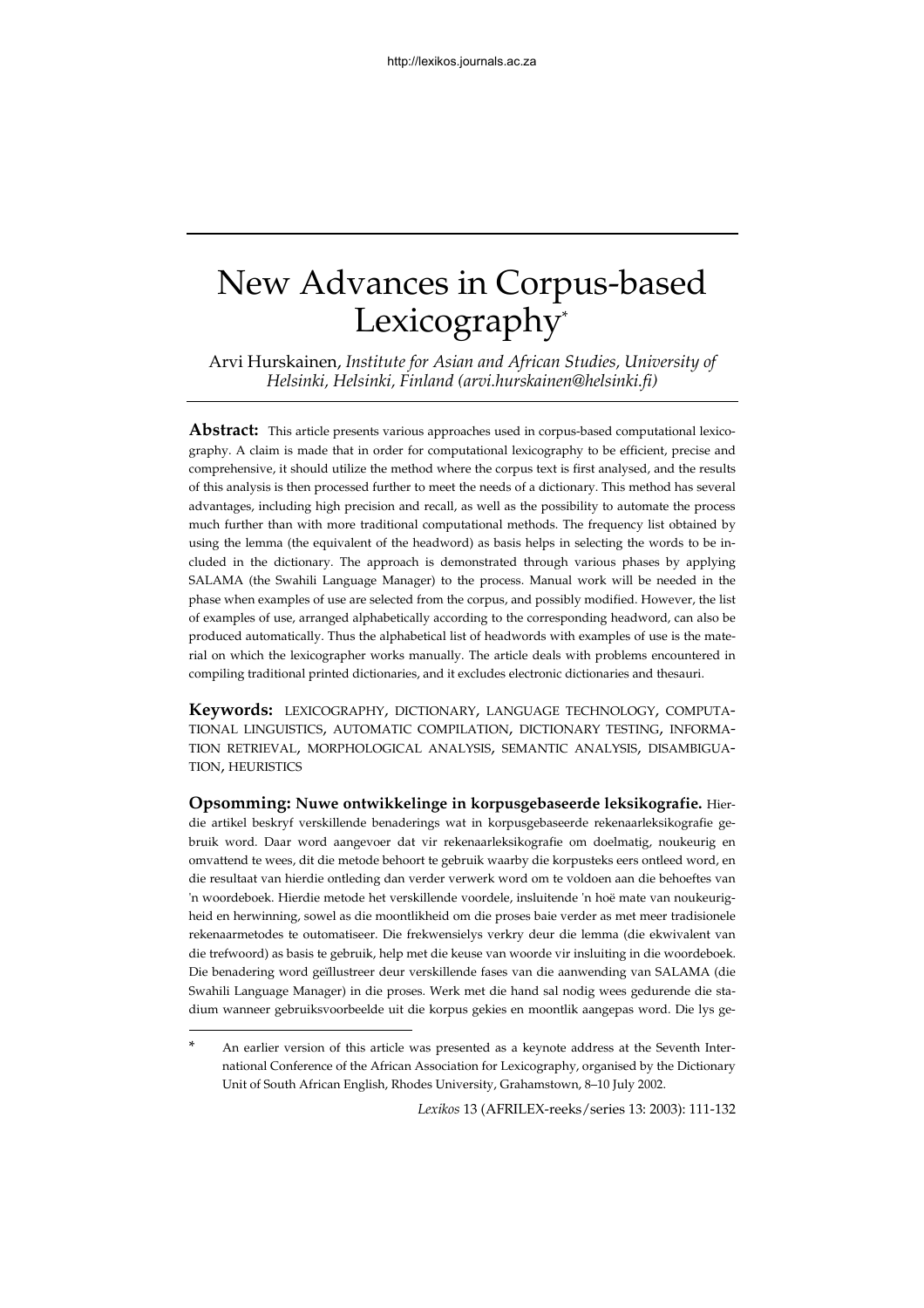# New Advances in Corpus-based Lexicography[\\*](#page-0-0)

Arvi Hurskainen, *Institute for Asian and African Studies, University of Helsinki, Helsinki, Finland (arvi.hurskainen@helsinki.fi)*

**Abstract:** This article presents various approaches used in corpus-based computational lexicography. A claim is made that in order for computational lexicography to be efficient, precise and comprehensive, it should utilize the method where the corpus text is first analysed, and the results of this analysis is then processed further to meet the needs of a dictionary. This method has several advantages, including high precision and recall, as well as the possibility to automate the process much further than with more traditional computational methods. The frequency list obtained by using the lemma (the equivalent of the headword) as basis helps in selecting the words to be included in the dictionary. The approach is demonstrated through various phases by applying SALAMA (the Swahili Language Manager) to the process. Manual work will be needed in the phase when examples of use are selected from the corpus, and possibly modified. However, the list of examples of use, arranged alphabetically according to the corresponding headword, can also be produced automatically. Thus the alphabetical list of headwords with examples of use is the material on which the lexicographer works manually. The article deals with problems encountered in compiling traditional printed dictionaries, and it excludes electronic dictionaries and thesauri.

**Keywords:** LEXICOGRAPHY, DICTIONARY, LANGUAGE TECHNOLOGY, COMPUTA-TIONAL LINGUISTICS, AUTOMATIC COMPILATION, DICTIONARY TESTING, INFORMA-TION RETRIEVAL, MORPHOLOGICAL ANALYSIS, SEMANTIC ANALYSIS, DISAMBIGUA-TION, HEURISTICS

**Opsomming: Nuwe ontwikkelinge in korpusgebaseerde leksikografie.** Hierdie artikel beskryf verskillende benaderings wat in korpusgebaseerde rekenaarleksikografie gebruik word. Daar word aangevoer dat vir rekenaarleksikografie om doelmatig, noukeurig en omvattend te wees, dit die metode behoort te gebruik waarby die korpusteks eers ontleed word, en die resultaat van hierdie ontleding dan verder verwerk word om te voldoen aan die behoeftes van 'n woordeboek. Hierdie metode het verskillende voordele, insluitende 'n hoë mate van noukeurigheid en herwinning, sowel as die moontlikheid om die proses baie verder as met meer tradisionele rekenaarmetodes te outomatiseer. Die frekwensielys verkry deur die lemma (die ekwivalent van die trefwoord) as basis te gebruik, help met die keuse van woorde vir insluiting in die woordeboek. Die benadering word geïllustreer deur verskillende fases van die aanwending van SALAMA (die Swahili Language Manager) in die proses. Werk met die hand sal nodig wees gedurende die stadium wanneer gebruiksvoorbeelde uit die korpus gekies en moontlik aangepas word. Die lys ge-

l

*Lexikos* 13 (AFRILEX-reeks/series 13: 2003): 111-132

<span id="page-0-0"></span>An earlier version of this article was presented as a keynote address at the Seventh International Conference of the African Association for Lexicography, organised by the Dictionary Unit of South African English, Rhodes University, Grahamstown, 8–10 July 2002.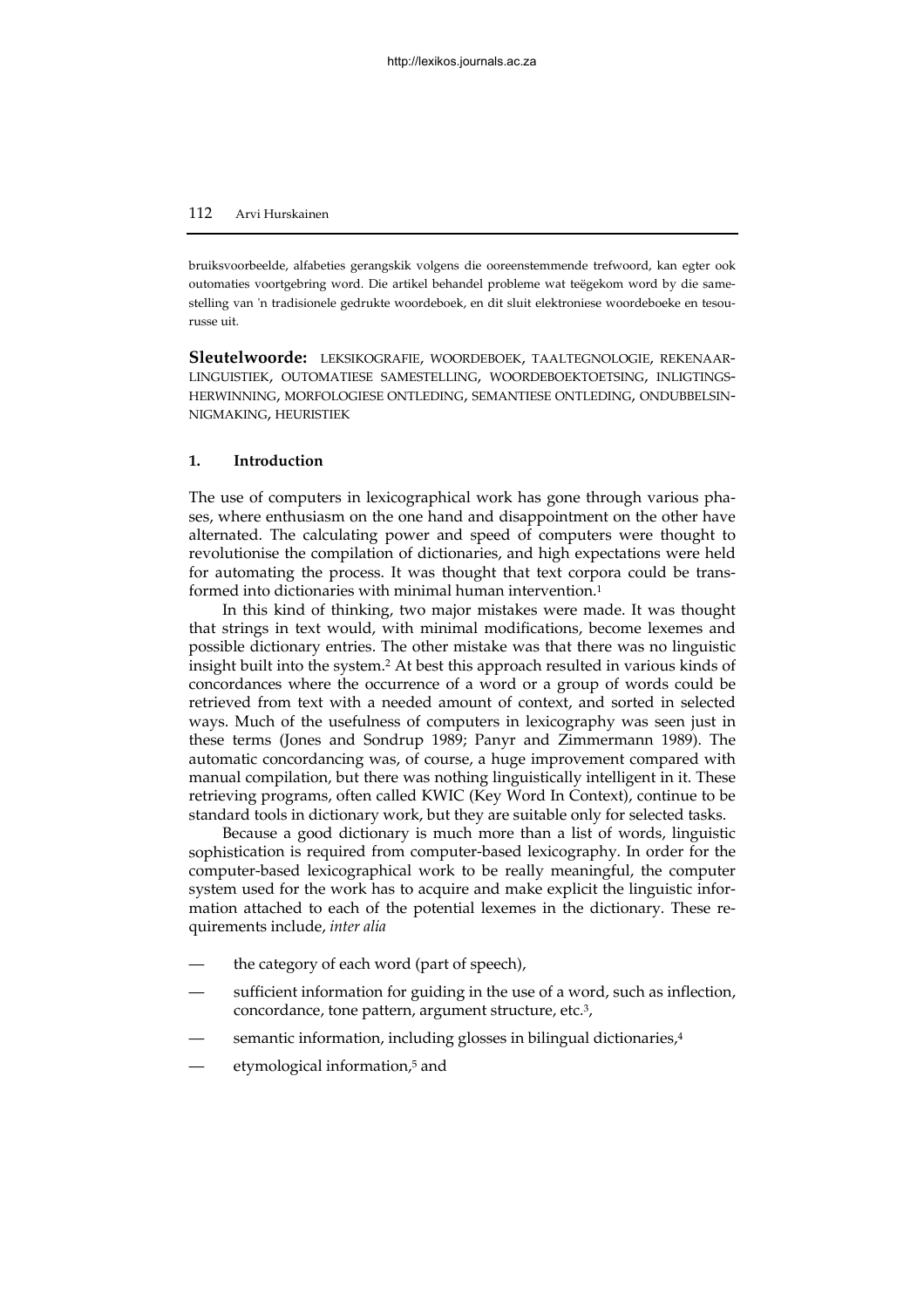bruiksvoorbeelde, alfabeties gerangskik volgens die ooreenstemmende trefwoord, kan egter ook outomaties voortgebring word. Die artikel behandel probleme wat teëgekom word by die samestelling van 'n tradisionele gedrukte woordeboek, en dit sluit elektroniese woordeboeke en tesourusse uit.

**Sleutelwoorde:** LEKSIKOGRAFIE, WOORDEBOEK, TAALTEGNOLOGIE, REKENAAR-LINGUISTIEK, OUTOMATIESE SAMESTELLING, WOORDEBOEKTOETSING, INLIGTINGS-HERWINNING, MORFOLOGIESE ONTLEDING, SEMANTIESE ONTLEDING, ONDUBBELSIN-NIGMAKING, HEURISTIEK

#### **1. Introduction**

The use of computers in lexicographical work has gone through various phases, where enthusiasm on the one hand and disappointment on the other have alternated. The calculating power and speed of computers were thought to revolutionise the compilation of dictionaries, and high expectations were held for automating the process. It was thought that text corpora could be transformed into dictionaries with minimal human intervention.<sup>1</sup>

In this kind of thinking, two major mistakes were made. It was thought that strings in text would, with minimal modifications, become lexemes and possible dictionary entries. The other mistake was that there was no linguistic insight built into the system.2 At best this approach resulted in various kinds of concordances where the occurrence of a word or a group of words could be retrieved from text with a needed amount of context, and sorted in selected ways. Much of the usefulness of computers in lexicography was seen just in these terms (Jones and Sondrup 1989; Panyr and Zimmermann 1989). The automatic concordancing was, of course, a huge improvement compared with manual compilation, but there was nothing linguistically intelligent in it. These retrieving programs, often called KWIC (Key Word In Context), continue to be standard tools in dictionary work, but they are suitable only for selected tasks.

Because a good dictionary is much more than a list of words, linguistic sophistication is required from computer-based lexicography. In order for the computer-based lexicographical work to be really meaningful, the computer system used for the work has to acquire and make explicit the linguistic information attached to each of the potential lexemes in the dictionary. These requirements include, *inter alia*

- the category of each word (part of speech),
- sufficient information for guiding in the use of a word, such as inflection, concordance, tone pattern, argument structure, etc.<sup>3</sup>,
- semantic information, including glosses in bilingual dictionaries,<sup>4</sup>
- etymological information,<sup>5</sup> and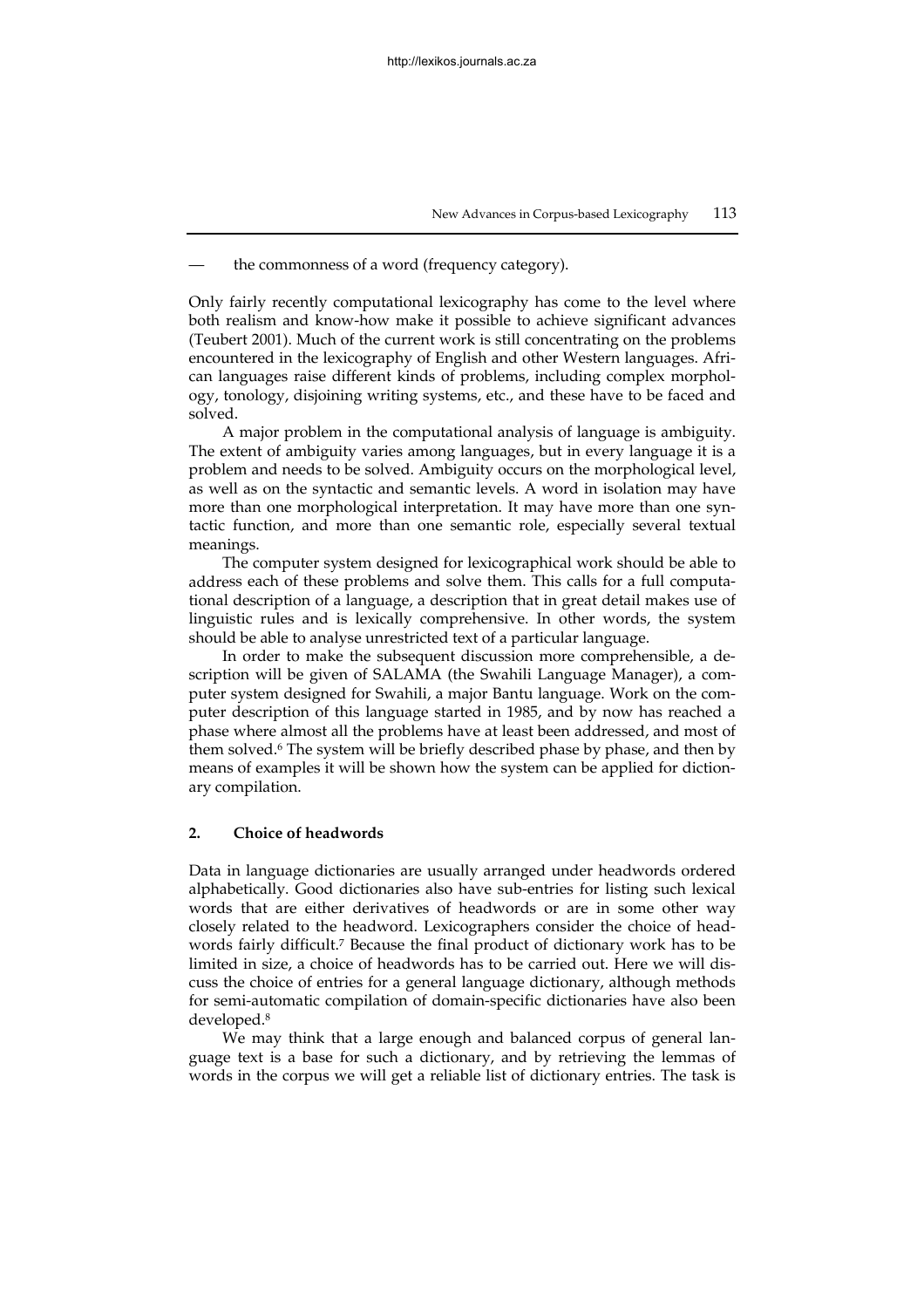#### the commonness of a word (frequency category).

Only fairly recently computational lexicography has come to the level where both realism and know-how make it possible to achieve significant advances (Teubert 2001). Much of the current work is still concentrating on the problems encountered in the lexicography of English and other Western languages. African languages raise different kinds of problems, including complex morphology, tonology, disjoining writing systems, etc., and these have to be faced and solved.

A major problem in the computational analysis of language is ambiguity. The extent of ambiguity varies among languages, but in every language it is a problem and needs to be solved. Ambiguity occurs on the morphological level, as well as on the syntactic and semantic levels. A word in isolation may have more than one morphological interpretation. It may have more than one syntactic function, and more than one semantic role, especially several textual meanings.

The computer system designed for lexicographical work should be able to address each of these problems and solve them. This calls for a full computational description of a language, a description that in great detail makes use of linguistic rules and is lexically comprehensive. In other words, the system should be able to analyse unrestricted text of a particular language.

In order to make the subsequent discussion more comprehensible, a description will be given of SALAMA (the Swahili Language Manager), a computer system designed for Swahili, a major Bantu language. Work on the computer description of this language started in 1985, and by now has reached a phase where almost all the problems have at least been addressed, and most of them solved.6 The system will be briefly described phase by phase, and then by means of examples it will be shown how the system can be applied for dictionary compilation.

#### **2. Choice of headwords**

Data in language dictionaries are usually arranged under headwords ordered alphabetically. Good dictionaries also have sub-entries for listing such lexical words that are either derivatives of headwords or are in some other way closely related to the headword. Lexicographers consider the choice of headwords fairly difficult.7 Because the final product of dictionary work has to be limited in size, a choice of headwords has to be carried out. Here we will discuss the choice of entries for a general language dictionary, although methods for semi-automatic compilation of domain-specific dictionaries have also been developed.8

We may think that a large enough and balanced corpus of general language text is a base for such a dictionary, and by retrieving the lemmas of words in the corpus we will get a reliable list of dictionary entries. The task is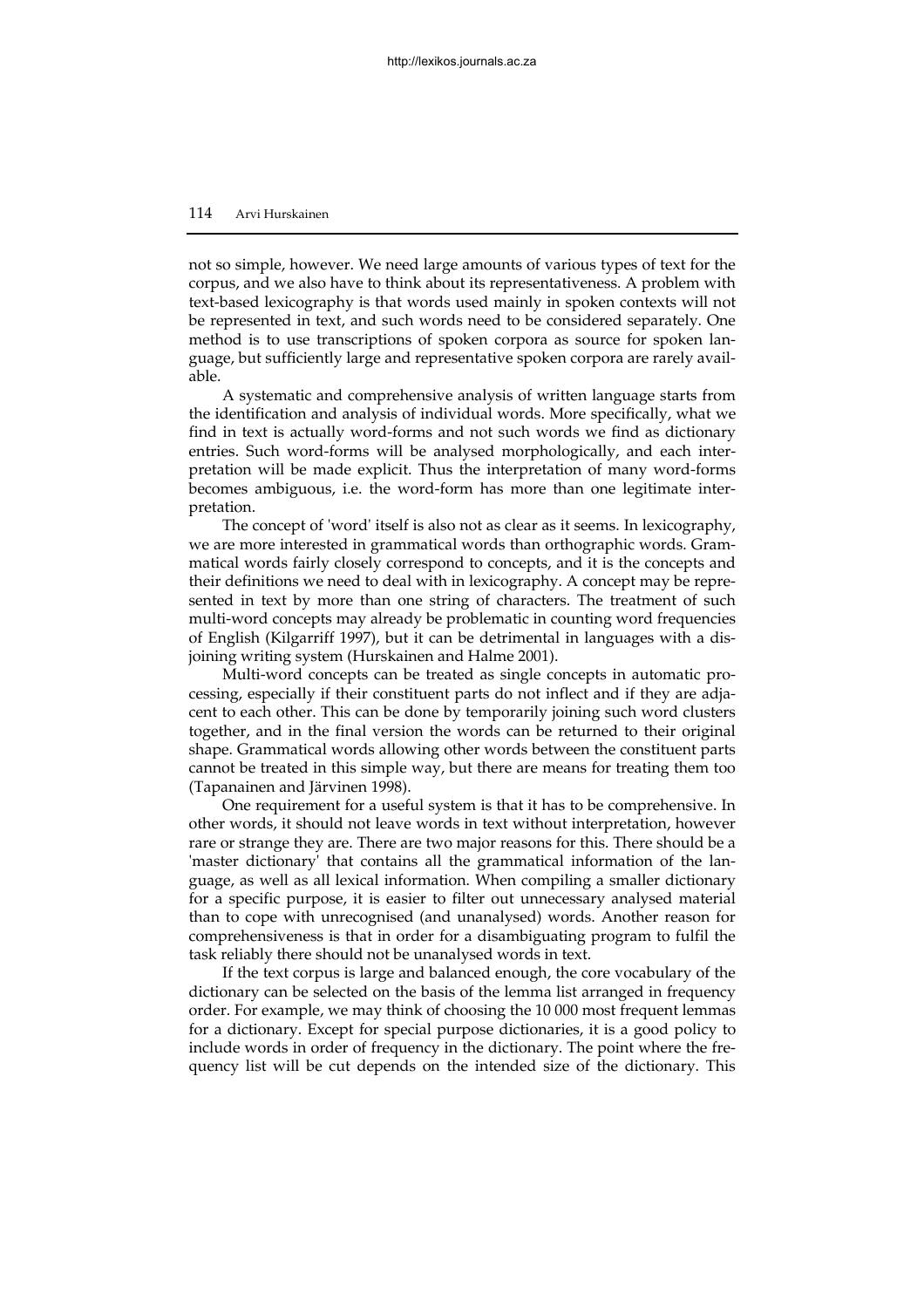not so simple, however. We need large amounts of various types of text for the corpus, and we also have to think about its representativeness. A problem with text-based lexicography is that words used mainly in spoken contexts will not be represented in text, and such words need to be considered separately. One method is to use transcriptions of spoken corpora as source for spoken language, but sufficiently large and representative spoken corpora are rarely available.

A systematic and comprehensive analysis of written language starts from the identification and analysis of individual words. More specifically, what we find in text is actually word-forms and not such words we find as dictionary entries. Such word-forms will be analysed morphologically, and each interpretation will be made explicit. Thus the interpretation of many word-forms becomes ambiguous, i.e. the word-form has more than one legitimate interpretation.

The concept of 'word' itself is also not as clear as it seems. In lexicography, we are more interested in grammatical words than orthographic words. Grammatical words fairly closely correspond to concepts, and it is the concepts and their definitions we need to deal with in lexicography. A concept may be represented in text by more than one string of characters. The treatment of such multi-word concepts may already be problematic in counting word frequencies of English (Kilgarriff 1997), but it can be detrimental in languages with a disjoining writing system (Hurskainen and Halme 2001).

Multi-word concepts can be treated as single concepts in automatic processing, especially if their constituent parts do not inflect and if they are adjacent to each other. This can be done by temporarily joining such word clusters together, and in the final version the words can be returned to their original shape. Grammatical words allowing other words between the constituent parts cannot be treated in this simple way, but there are means for treating them too (Tapanainen and Järvinen 1998).

One requirement for a useful system is that it has to be comprehensive. In other words, it should not leave words in text without interpretation, however rare or strange they are. There are two major reasons for this. There should be a 'master dictionary' that contains all the grammatical information of the language, as well as all lexical information. When compiling a smaller dictionary for a specific purpose, it is easier to filter out unnecessary analysed material than to cope with unrecognised (and unanalysed) words. Another reason for comprehensiveness is that in order for a disambiguating program to fulfil the task reliably there should not be unanalysed words in text.

If the text corpus is large and balanced enough, the core vocabulary of the dictionary can be selected on the basis of the lemma list arranged in frequency order. For example, we may think of choosing the 10 000 most frequent lemmas for a dictionary. Except for special purpose dictionaries, it is a good policy to include words in order of frequency in the dictionary. The point where the frequency list will be cut depends on the intended size of the dictionary. This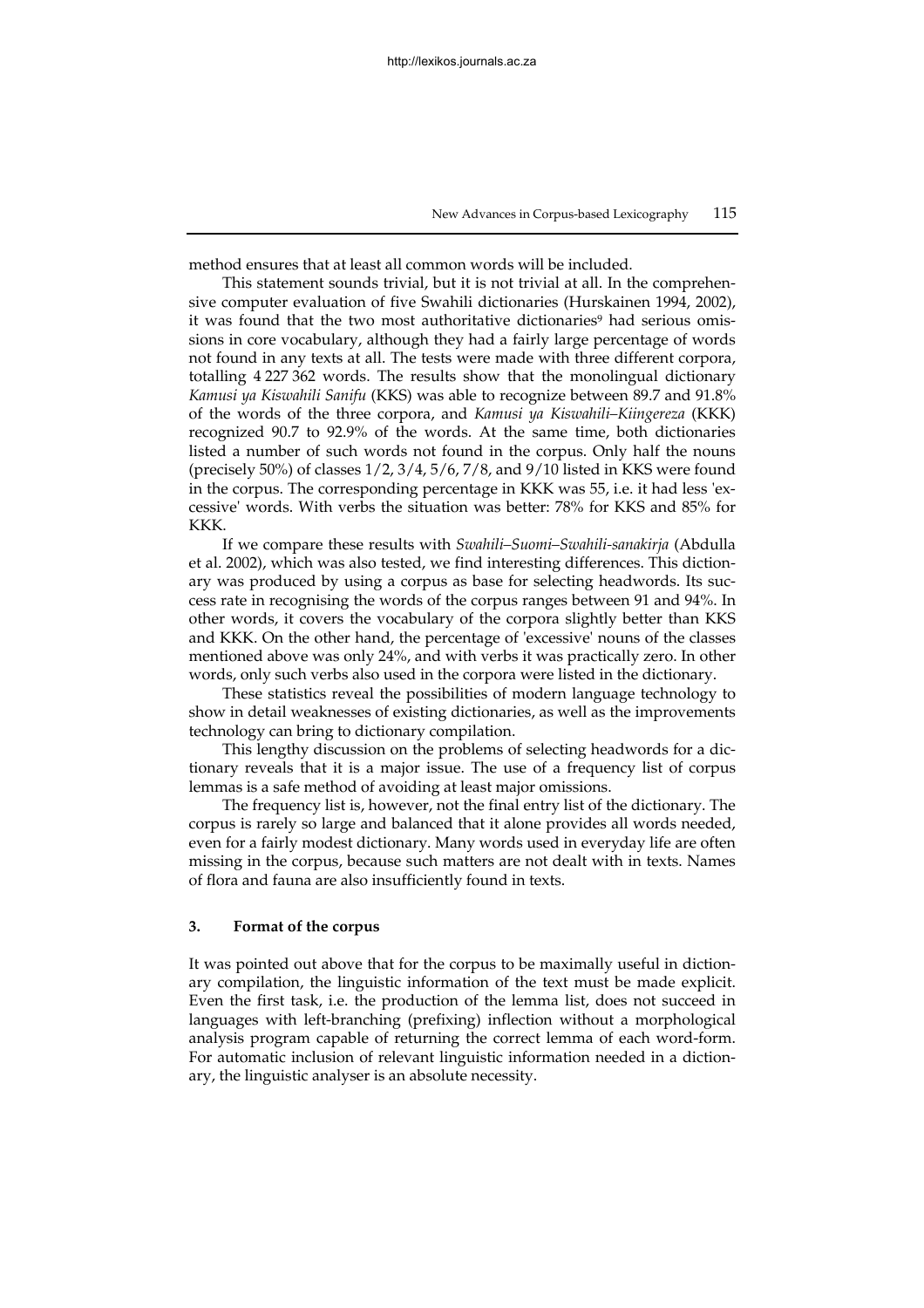method ensures that at least all common words will be included.

This statement sounds trivial, but it is not trivial at all. In the comprehensive computer evaluation of five Swahili dictionaries (Hurskainen 1994, 2002), it was found that the two most authoritative dictionaries<sup>9</sup> had serious omissions in core vocabulary, although they had a fairly large percentage of words not found in any texts at all. The tests were made with three different corpora, totalling 4 227 362 words. The results show that the monolingual dictionary *Kamusi ya Kiswahili Sanifu* (KKS) was able to recognize between 89.7 and 91.8% of the words of the three corpora, and *Kamusi ya Kiswahili–Kiingereza* (KKK) recognized 90.7 to 92.9% of the words. At the same time, both dictionaries listed a number of such words not found in the corpus. Only half the nouns (precisely 50%) of classes 1/2, 3/4, 5/6, 7/8, and 9/10 listed in KKS were found in the corpus. The corresponding percentage in KKK was 55, i.e. it had less 'excessive' words. With verbs the situation was better: 78% for KKS and 85% for KKK.

If we compare these results with *Swahili–Suomi–Swahili-sanakirja* (Abdulla et al. 2002), which was also tested, we find interesting differences. This dictionary was produced by using a corpus as base for selecting headwords. Its success rate in recognising the words of the corpus ranges between 91 and 94%. In other words, it covers the vocabulary of the corpora slightly better than KKS and KKK. On the other hand, the percentage of 'excessive' nouns of the classes mentioned above was only 24%, and with verbs it was practically zero. In other words, only such verbs also used in the corpora were listed in the dictionary.

These statistics reveal the possibilities of modern language technology to show in detail weaknesses of existing dictionaries, as well as the improvements technology can bring to dictionary compilation.

This lengthy discussion on the problems of selecting headwords for a dictionary reveals that it is a major issue. The use of a frequency list of corpus lemmas is a safe method of avoiding at least major omissions.

The frequency list is, however, not the final entry list of the dictionary. The corpus is rarely so large and balanced that it alone provides all words needed, even for a fairly modest dictionary. Many words used in everyday life are often missing in the corpus, because such matters are not dealt with in texts. Names of flora and fauna are also insufficiently found in texts.

# **3. Format of the corpus**

It was pointed out above that for the corpus to be maximally useful in dictionary compilation, the linguistic information of the text must be made explicit. Even the first task, i.e. the production of the lemma list, does not succeed in languages with left-branching (prefixing) inflection without a morphological analysis program capable of returning the correct lemma of each word-form. For automatic inclusion of relevant linguistic information needed in a dictionary, the linguistic analyser is an absolute necessity.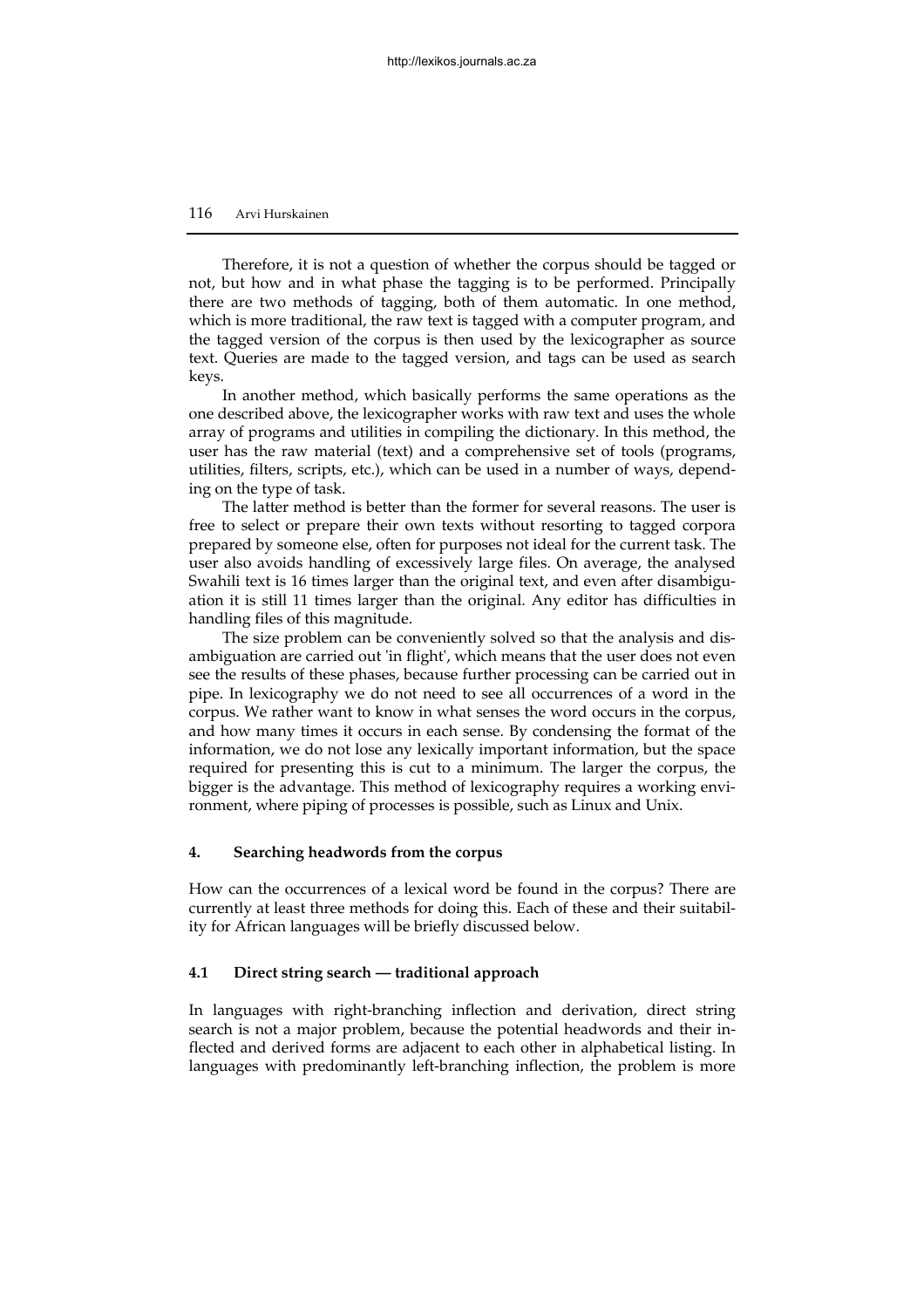Therefore, it is not a question of whether the corpus should be tagged or not, but how and in what phase the tagging is to be performed. Principally there are two methods of tagging, both of them automatic. In one method, which is more traditional, the raw text is tagged with a computer program, and the tagged version of the corpus is then used by the lexicographer as source text. Queries are made to the tagged version, and tags can be used as search keys.

In another method, which basically performs the same operations as the one described above, the lexicographer works with raw text and uses the whole array of programs and utilities in compiling the dictionary. In this method, the user has the raw material (text) and a comprehensive set of tools (programs, utilities, filters, scripts, etc.), which can be used in a number of ways, depending on the type of task.

The latter method is better than the former for several reasons. The user is free to select or prepare their own texts without resorting to tagged corpora prepared by someone else, often for purposes not ideal for the current task. The user also avoids handling of excessively large files. On average, the analysed Swahili text is 16 times larger than the original text, and even after disambiguation it is still 11 times larger than the original. Any editor has difficulties in handling files of this magnitude.

The size problem can be conveniently solved so that the analysis and disambiguation are carried out 'in flight', which means that the user does not even see the results of these phases, because further processing can be carried out in pipe. In lexicography we do not need to see all occurrences of a word in the corpus. We rather want to know in what senses the word occurs in the corpus, and how many times it occurs in each sense. By condensing the format of the information, we do not lose any lexically important information, but the space required for presenting this is cut to a minimum. The larger the corpus, the bigger is the advantage. This method of lexicography requires a working environment, where piping of processes is possible, such as Linux and Unix.

#### **4. Searching headwords from the corpus**

How can the occurrences of a lexical word be found in the corpus? There are currently at least three methods for doing this. Each of these and their suitability for African languages will be briefly discussed below.

#### **4.1 Direct string search — traditional approach**

In languages with right-branching inflection and derivation, direct string search is not a major problem, because the potential headwords and their inflected and derived forms are adjacent to each other in alphabetical listing. In languages with predominantly left-branching inflection, the problem is more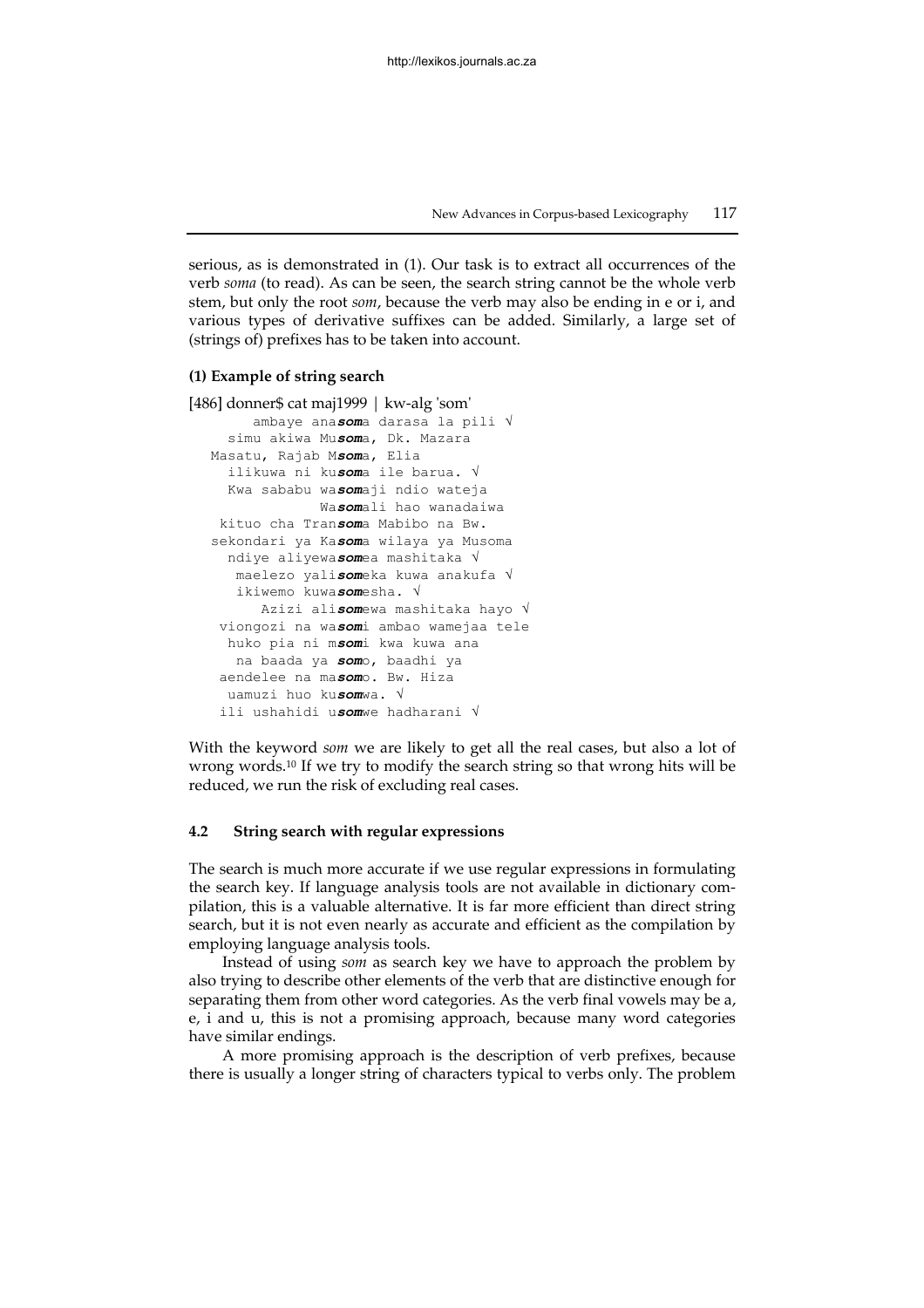serious, as is demonstrated in (1). Our task is to extract all occurrences of the verb *soma* (to read). As can be seen, the search string cannot be the whole verb stem, but only the root *som*, because the verb may also be ending in e or i, and various types of derivative suffixes can be added. Similarly, a large set of (strings of) prefixes has to be taken into account.

## **(1) Example of string search**

```
[486] donner$ cat maj1999 | kw-alg 'som' 
         ambaye anasoma darasa la pili √
      simu akiwa Musoma, Dk. Mazara 
  Masatu, Rajab Msoma, Elia 
     ilikuwa ni kusoma ile barua. √
     Kwa sababu wasomaji ndio wateja 
                 Wasomali hao wanadaiwa 
    kituo cha Transoma Mabibo na Bw. 
  sekondari ya Kasoma wilaya ya Musoma 
     ndiye aliyewasomea mashitaka √
      maelezo yalisomeka kuwa anakufa √
      ikiwemo kuwasomesha. √
         Azizi alisomewa mashitaka hayo √
    viongozi na wasomi ambao wamejaa tele 
     huko pia ni msomi kwa kuwa ana 
      na baada ya somo, baadhi ya 
     aendelee na masomo. Bw. Hiza 
     uamuzi huo kusomwa. √
     ili ushahidi usomwe hadharani √
```
With the keyword *som* we are likely to get all the real cases, but also a lot of wrong words.10 If we try to modify the search string so that wrong hits will be reduced, we run the risk of excluding real cases.

# **4.2 String search with regular expressions**

The search is much more accurate if we use regular expressions in formulating the search key. If language analysis tools are not available in dictionary compilation, this is a valuable alternative. It is far more efficient than direct string search, but it is not even nearly as accurate and efficient as the compilation by employing language analysis tools.

Instead of using *som* as search key we have to approach the problem by also trying to describe other elements of the verb that are distinctive enough for separating them from other word categories. As the verb final vowels may be a, e, i and u, this is not a promising approach, because many word categories have similar endings.

A more promising approach is the description of verb prefixes, because there is usually a longer string of characters typical to verbs only. The problem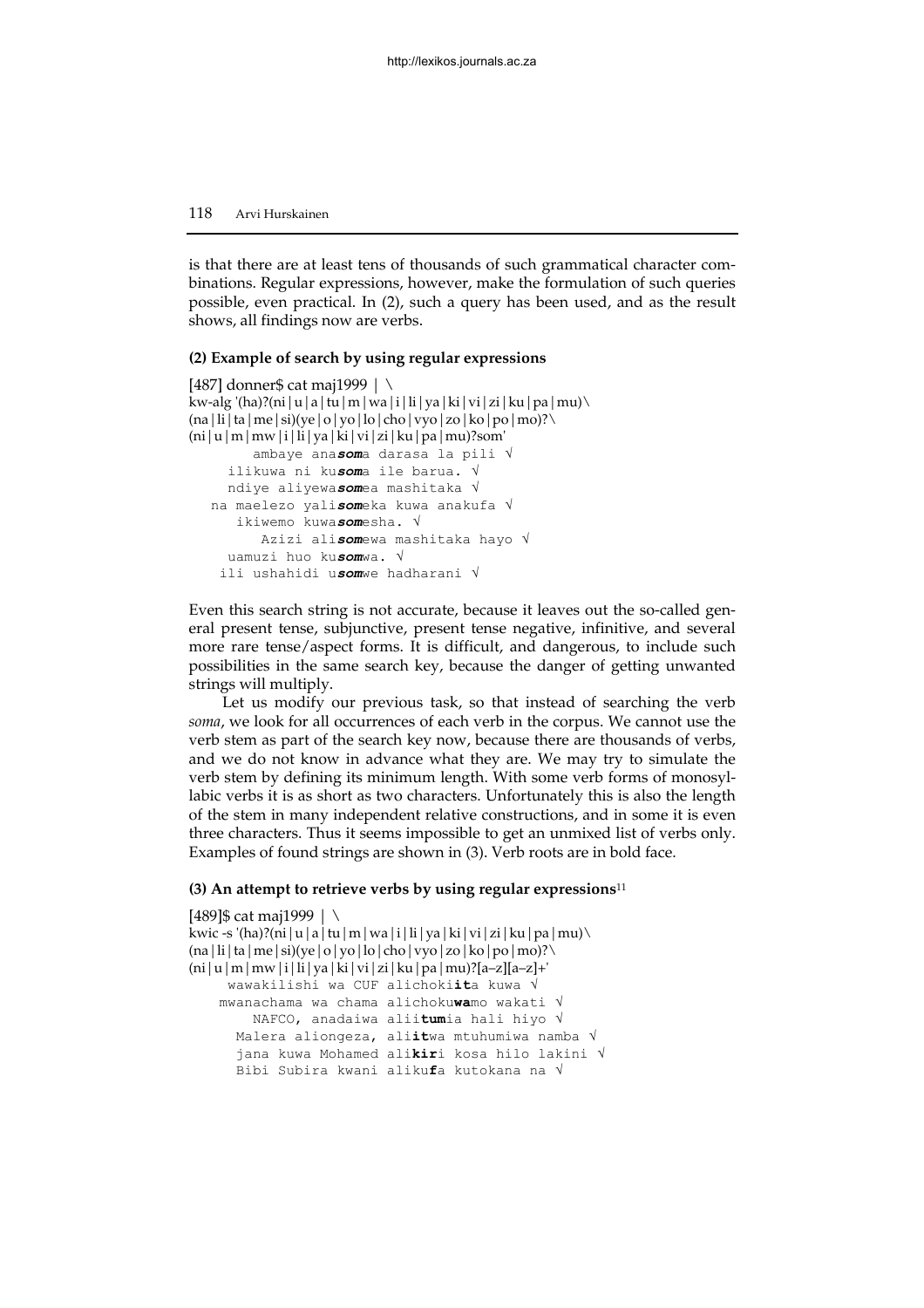is that there are at least tens of thousands of such grammatical character combinations. Regular expressions, however, make the formulation of such queries possible, even practical. In (2), such a query has been used, and as the result shows, all findings now are verbs.

#### **(2) Example of search by using regular expressions**

```
[487] donner$ cat maj1999 | \ 
kw-alg '(ha)?(ni|u|a|tu|m|wa|i|li|ya|ki|vi|zi|ku|pa|mu)
(na|li|ta|me|si)(ye|o|yo|lo|cho|vyo|zo|ko|po|mo)?\ \(ni|u|m|mw|i|li|ya|ki|vi|zi|ku|pa|mu)?som'
         ambaye anasoma darasa la pili √
      ilikuwa ni kusoma ile barua. √
      ndiye aliyewasomea mashitaka √
  na maelezo yalisomeka kuwa anakufa √
       ikiwemo kuwasomesha. √
         Azizi alisomewa mashitaka hayo √
      uamuzi huo kusomwa. √
     ili ushahidi usomwe hadharani √
```
Even this search string is not accurate, because it leaves out the so-called general present tense, subjunctive, present tense negative, infinitive, and several more rare tense/aspect forms. It is difficult, and dangerous, to include such possibilities in the same search key, because the danger of getting unwanted strings will multiply.

Let us modify our previous task, so that instead of searching the verb *soma*, we look for all occurrences of each verb in the corpus. We cannot use the verb stem as part of the search key now, because there are thousands of verbs, and we do not know in advance what they are. We may try to simulate the verb stem by defining its minimum length. With some verb forms of monosyllabic verbs it is as short as two characters. Unfortunately this is also the length of the stem in many independent relative constructions, and in some it is even three characters. Thus it seems impossible to get an unmixed list of verbs only. Examples of found strings are shown in (3). Verb roots are in bold face.

#### **(3) An attempt to retrieve verbs by using regular expressions**<sup>11</sup>

```
[489]$ cat maj1999 | \
kwic -s '(ha)?(ni|u|a|tu|m|wa|i|li|ya|ki|vi|zi|ku|pa|mu)\
(na|li|ta|me|si)(ye|o|yo|lo|cho|vyo|zo|ko|po|mo)?\ \(ni|u|m|mw|i|li|ya|ki|vi|zi|ku|pa|mu)?[a-z][a-z]+' wawakilishi wa CUF alichokiita kuwa √
     mwanachama wa chama alichokuwamo wakati √
         NAFCO, anadaiwa aliitumia hali hiyo √
       Malera aliongeza, aliitwa mtuhumiwa namba √
       jana kuwa Mohamed alikiri kosa hilo lakini √
       Bibi Subira kwani alikufa kutokana na √
```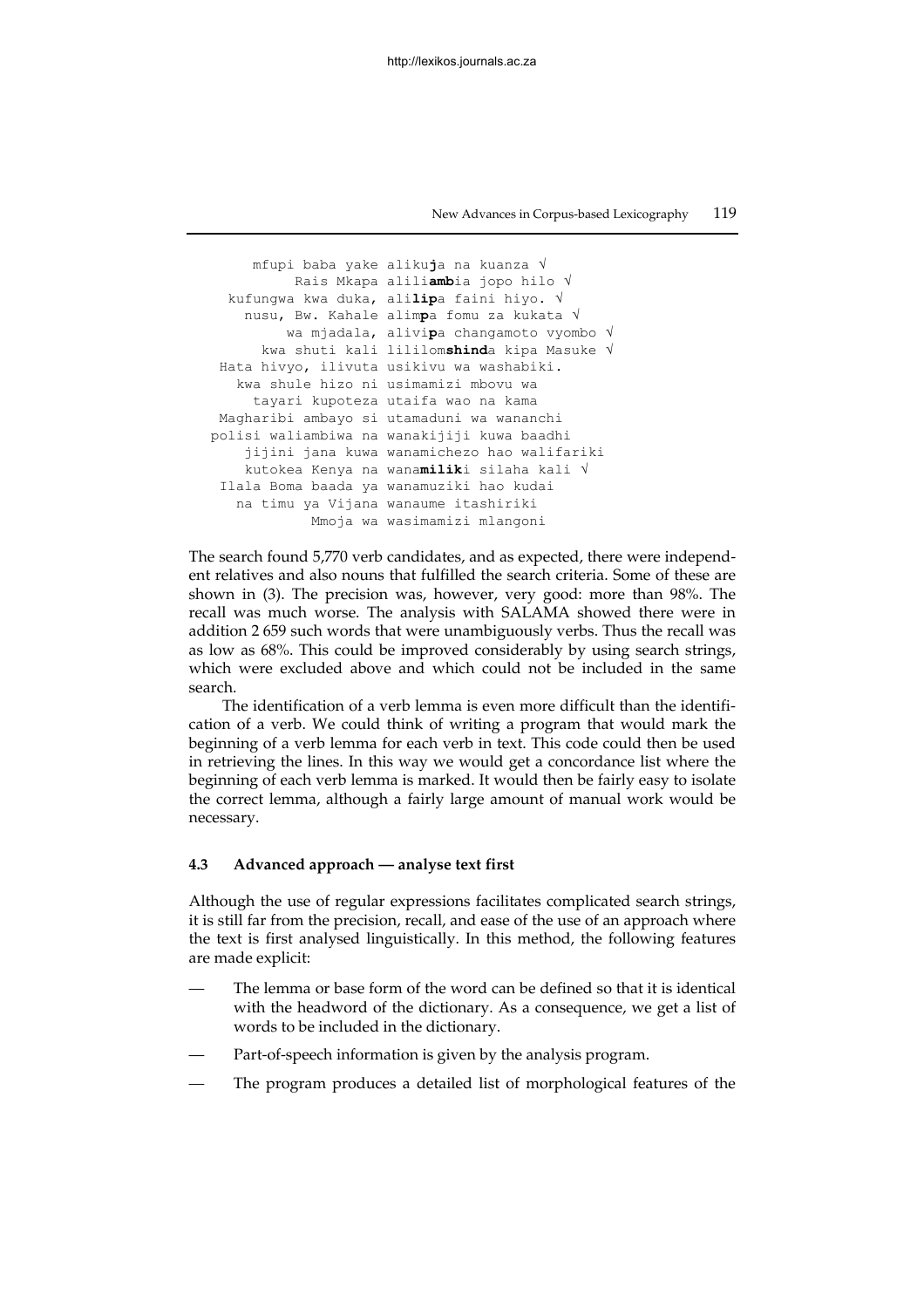```
 mfupi baba yake alikuja na kuanza √
           Rais Mkapa aliliambia jopo hilo √
   kufungwa kwa duka, alilipa faini hiyo. √
     nusu, Bw. Kahale alimpa fomu za kukata √
         wa mjadala, alivipa changamoto vyombo √
      kwa shuti kali lililomshinda kipa Masuke √
  Hata hivyo, ilivuta usikivu wa washabiki. 
    kwa shule hizo ni usimamizi mbovu wa 
      tayari kupoteza utaifa wao na kama 
  Magharibi ambayo si utamaduni wa wananchi 
polisi waliambiwa na wanakijiji kuwa baadhi 
     jijini jana kuwa wanamichezo hao walifariki 
     kutokea Kenya na wanamiliki silaha kali √
  Ilala Boma baada ya wanamuziki hao kudai 
    na timu ya Vijana wanaume itashiriki 
             Mmoja wa wasimamizi mlangoni
```
The search found 5,770 verb candidates, and as expected, there were independent relatives and also nouns that fulfilled the search criteria. Some of these are shown in (3). The precision was, however, very good: more than 98%. The recall was much worse. The analysis with SALAMA showed there were in addition 2 659 such words that were unambiguously verbs. Thus the recall was as low as 68%. This could be improved considerably by using search strings, which were excluded above and which could not be included in the same search.

The identification of a verb lemma is even more difficult than the identification of a verb. We could think of writing a program that would mark the beginning of a verb lemma for each verb in text. This code could then be used in retrieving the lines. In this way we would get a concordance list where the beginning of each verb lemma is marked. It would then be fairly easy to isolate the correct lemma, although a fairly large amount of manual work would be necessary.

# **4.3 Advanced approach — analyse text first**

Although the use of regular expressions facilitates complicated search strings, it is still far from the precision, recall, and ease of the use of an approach where the text is first analysed linguistically. In this method, the following features are made explicit:

- The lemma or base form of the word can be defined so that it is identical with the headword of the dictionary. As a consequence, we get a list of words to be included in the dictionary.
- Part-of-speech information is given by the analysis program.
- The program produces a detailed list of morphological features of the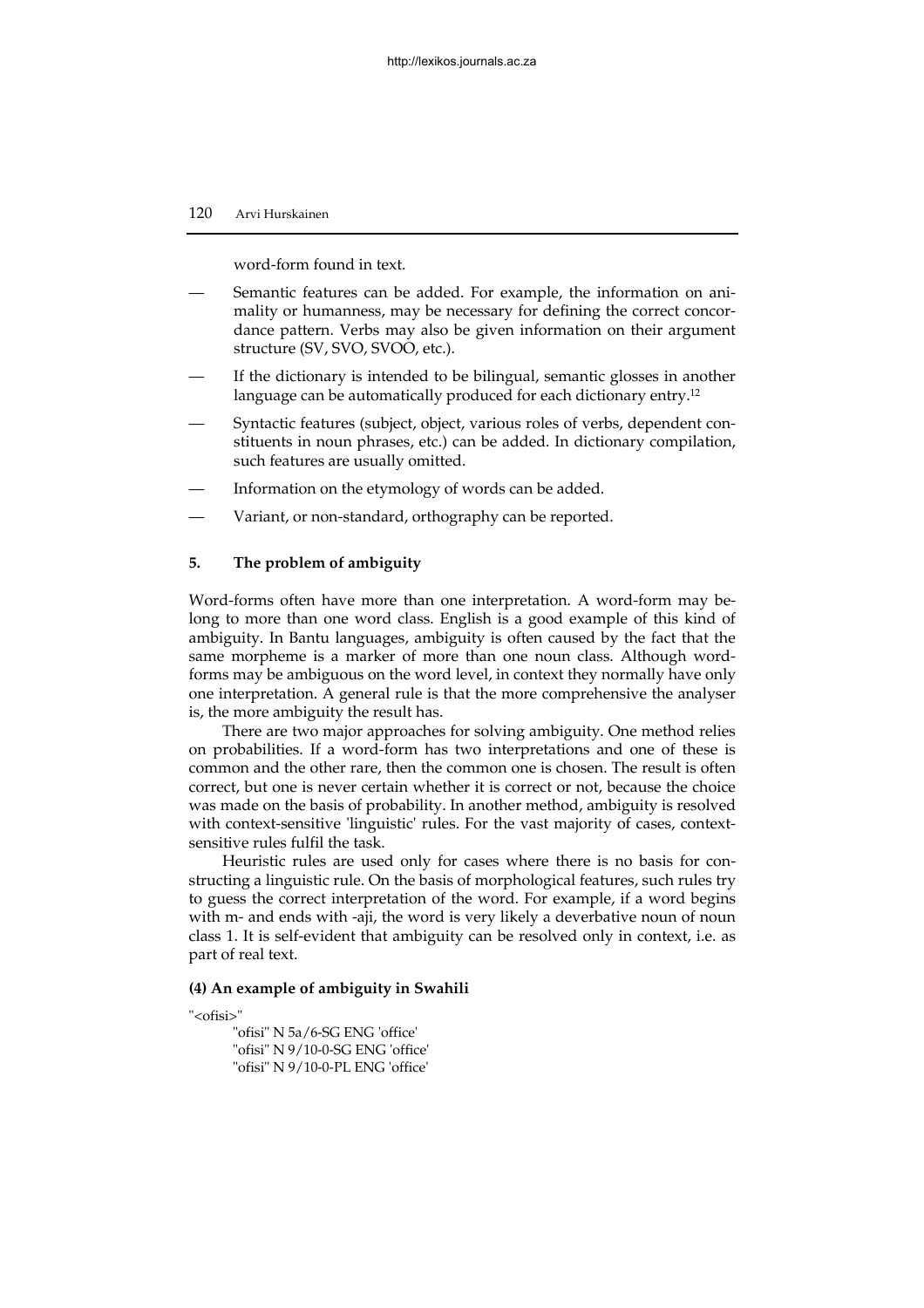word-form found in text.

- Semantic features can be added. For example, the information on animality or humanness, may be necessary for defining the correct concordance pattern. Verbs may also be given information on their argument structure (SV, SVO, SVOO, etc.).
- If the dictionary is intended to be bilingual, semantic glosses in another language can be automatically produced for each dictionary entry.<sup>12</sup>
- Syntactic features (subject, object, various roles of verbs, dependent constituents in noun phrases, etc.) can be added. In dictionary compilation, such features are usually omitted.
- Information on the etymology of words can be added.
- Variant, or non-standard, orthography can be reported.

#### **5. The problem of ambiguity**

Word-forms often have more than one interpretation. A word-form may belong to more than one word class. English is a good example of this kind of ambiguity. In Bantu languages, ambiguity is often caused by the fact that the same morpheme is a marker of more than one noun class. Although wordforms may be ambiguous on the word level, in context they normally have only one interpretation. A general rule is that the more comprehensive the analyser is, the more ambiguity the result has.

There are two major approaches for solving ambiguity. One method relies on probabilities. If a word-form has two interpretations and one of these is common and the other rare, then the common one is chosen. The result is often correct, but one is never certain whether it is correct or not, because the choice was made on the basis of probability. In another method, ambiguity is resolved with context-sensitive 'linguistic' rules. For the vast majority of cases, contextsensitive rules fulfil the task.

Heuristic rules are used only for cases where there is no basis for constructing a linguistic rule. On the basis of morphological features, such rules try to guess the correct interpretation of the word. For example, if a word begins with m- and ends with -aji, the word is very likely a deverbative noun of noun class 1. It is self-evident that ambiguity can be resolved only in context, i.e. as part of real text.

#### **(4) An example of ambiguity in Swahili**

"<ofisi>"

 "ofisi" N 5a/6-SG ENG 'office' "ofisi" N 9/10-0-SG ENG 'office' "ofisi" N 9/10-0-PL ENG 'office'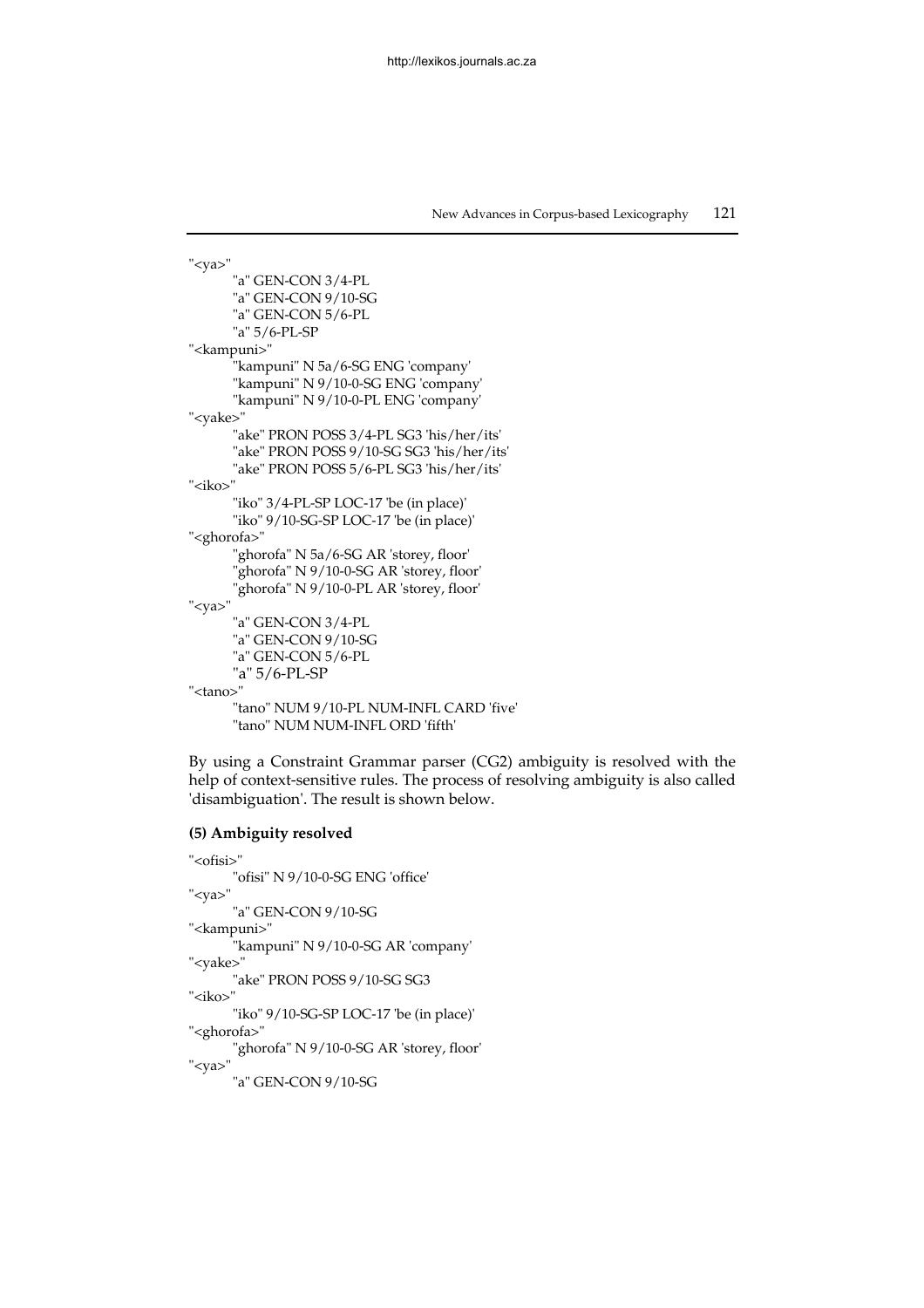```
"<ya>"
       "a" GEN-CON 3/4-PL 
       "a" GEN-CON 9/10-SG 
       "a" GEN-CON 5/6-PL 
       "a" 5/6-PL-SP 
"<kampuni>"
        "kampuni" N 5a/6-SG ENG 'company' 
        "kampuni" N 9/10-0-SG ENG 'company' 
        "kampuni" N 9/10-0-PL ENG 'company' 
"<yake>" 
        "ake" PRON POSS 3/4-PL SG3 'his/her/its' 
       "ake" PRON POSS 9/10-SG SG3 'his/her/its' 
        "ake" PRON POSS 5/6-PL SG3 'his/her/its' 
"<iko>"
        "iko" 3/4-PL-SP LOC-17 'be (in place)' 
       "iko" 9/10-SG-SP LOC-17 'be (in place)' 
"<ghorofa>" 
        "ghorofa" N 5a/6-SG AR 'storey, floor' 
        "ghorofa" N 9/10-0-SG AR 'storey, floor' 
        "ghorofa" N 9/10-0-PL AR 'storey, floor' 
"<ya>" 
       "a" GEN-CON 3/4-PL 
       "a" GEN-CON 9/10-SG 
       "a" GEN-CON 5/6-PL 
       "a" 5/6-PL-SP 
"<tano>" 
        "tano" NUM 9/10-PL NUM-INFL CARD 'five' 
        "tano" NUM NUM-INFL ORD 'fifth'
```
By using a Constraint Grammar parser (CG2) ambiguity is resolved with the help of context-sensitive rules. The process of resolving ambiguity is also called 'disambiguation'. The result is shown below.

# **(5) Ambiguity resolved**

```
"<ofisi>"
        "ofisi" N 9/10-0-SG ENG 'office' 
"<ya>" 
        "a" GEN-CON 9/10-SG 
"<kampuni>"
        "kampuni" N 9/10-0-SG AR 'company' 
"<yake>" 
        "ake" PRON POSS 9/10-SG SG3 
"<iko>"
        "iko" 9/10-SG-SP LOC-17 'be (in place)' 
"<ghorofa>" 
        "ghorofa" N 9/10-0-SG AR 'storey, floor' 
"<ya>"
```
"a" GEN-CON 9/10-SG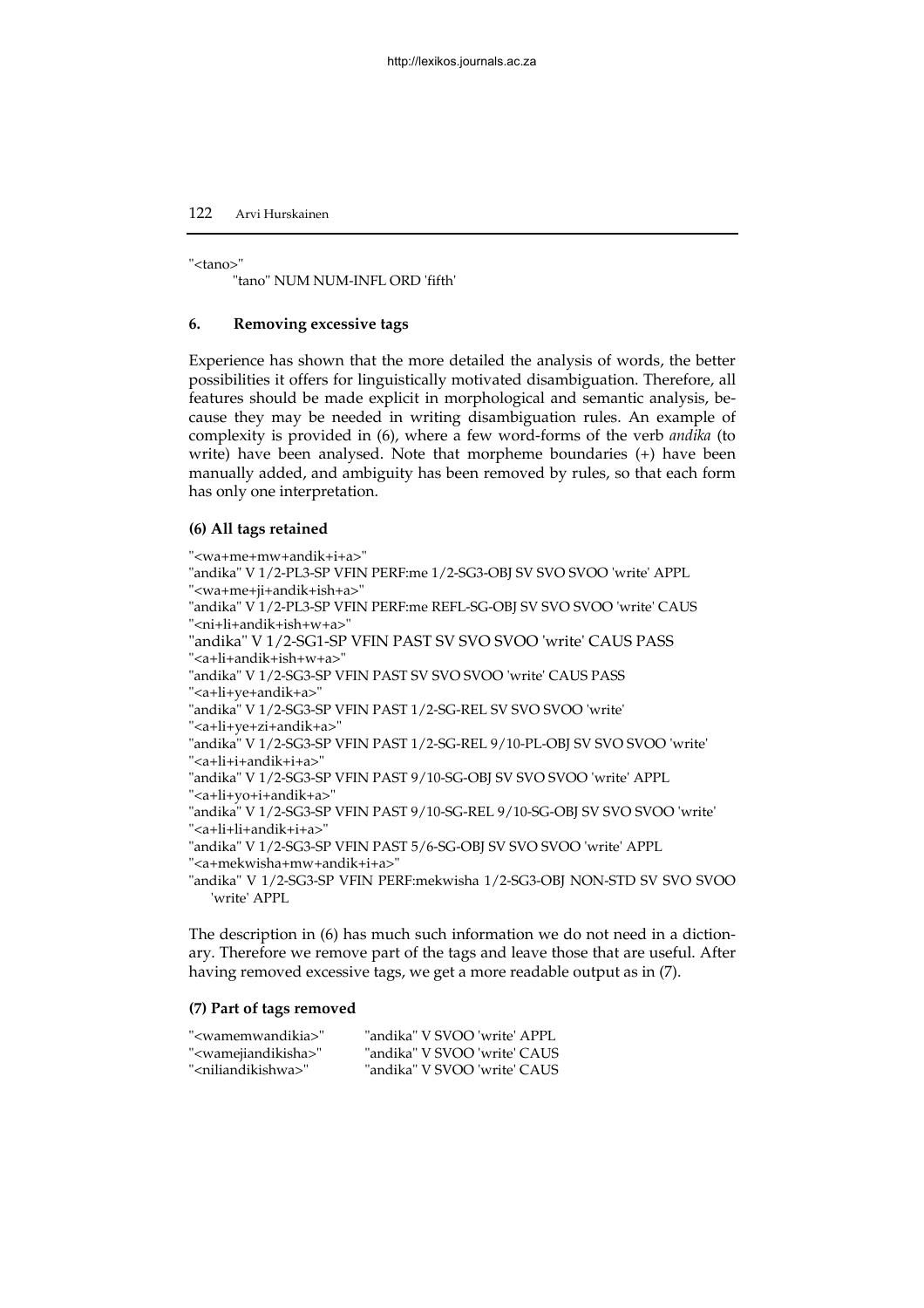"<tano>"

"tano" NUM NUM-INFL ORD 'fifth'

#### **6. Removing excessive tags**

Experience has shown that the more detailed the analysis of words, the better possibilities it offers for linguistically motivated disambiguation. Therefore, all features should be made explicit in morphological and semantic analysis, because they may be needed in writing disambiguation rules. An example of complexity is provided in (6), where a few word-forms of the verb *andika* (to write) have been analysed. Note that morpheme boundaries (+) have been manually added, and ambiguity has been removed by rules, so that each form has only one interpretation.

#### **(6) All tags retained**

"<wa+me+mw+andik+i+a>" "andika" V 1/2-PL3-SP VFIN PERF:me 1/2-SG3-OBJ SV SVO SVOO 'write' APPL "<wa+me+ji+andik+ish+a>" "andika" V 1/2-PL3-SP VFIN PERF:me REFL-SG-OBJ SV SVO SVOO 'write' CAUS "<ni+li+andik+ish+w+a>" "andika" V 1/2-SG1-SP VFIN PAST SV SVO SVOO 'write' CAUS PASS "<a+li+andik+ish+w+a>" "andika" V 1/2-SG3-SP VFIN PAST SV SVO SVOO 'write' CAUS PASS "<a+li+ye+andik+a>" "andika" V 1/2-SG3-SP VFIN PAST 1/2-SG-REL SV SVO SVOO 'write' "<a+li+ye+zi+andik+a>" "andika" V 1/2-SG3-SP VFIN PAST 1/2-SG-REL 9/10-PL-OBJ SV SVO SVOO 'write' "<a+li+i+andik+i+a>" "andika" V 1/2-SG3-SP VFIN PAST 9/10-SG-OBJ SV SVO SVOO 'write' APPL "<a+li+yo+i+andik+a>" "andika" V 1/2-SG3-SP VFIN PAST 9/10-SG-REL 9/10-SG-OBJ SV SVO SVOO 'write' "<a+li+li+andik+i+a>" "andika" V 1/2-SG3-SP VFIN PAST 5/6-SG-OBJ SV SVO SVOO 'write' APPL "<a+mekwisha+mw+andik+i+a>" "andika" V 1/2-SG3-SP VFIN PERF:mekwisha 1/2-SG3-OBJ NON-STD SV SVO SVOO 'write' APPL

The description in (6) has much such information we do not need in a dictionary. Therefore we remove part of the tags and leave those that are useful. After having removed excessive tags, we get a more readable output as in (7).

## **(7) Part of tags removed**

| " <wamemwandikia>"</wamemwandikia>     | "andika" V SVOO 'write' APPL |
|----------------------------------------|------------------------------|
| " <wamejiandikisha>"</wamejiandikisha> | "andika" V SVOO 'write' CAUS |
| " <niliandikishwa>"</niliandikishwa>   | "andika" V SVOO 'write' CAUS |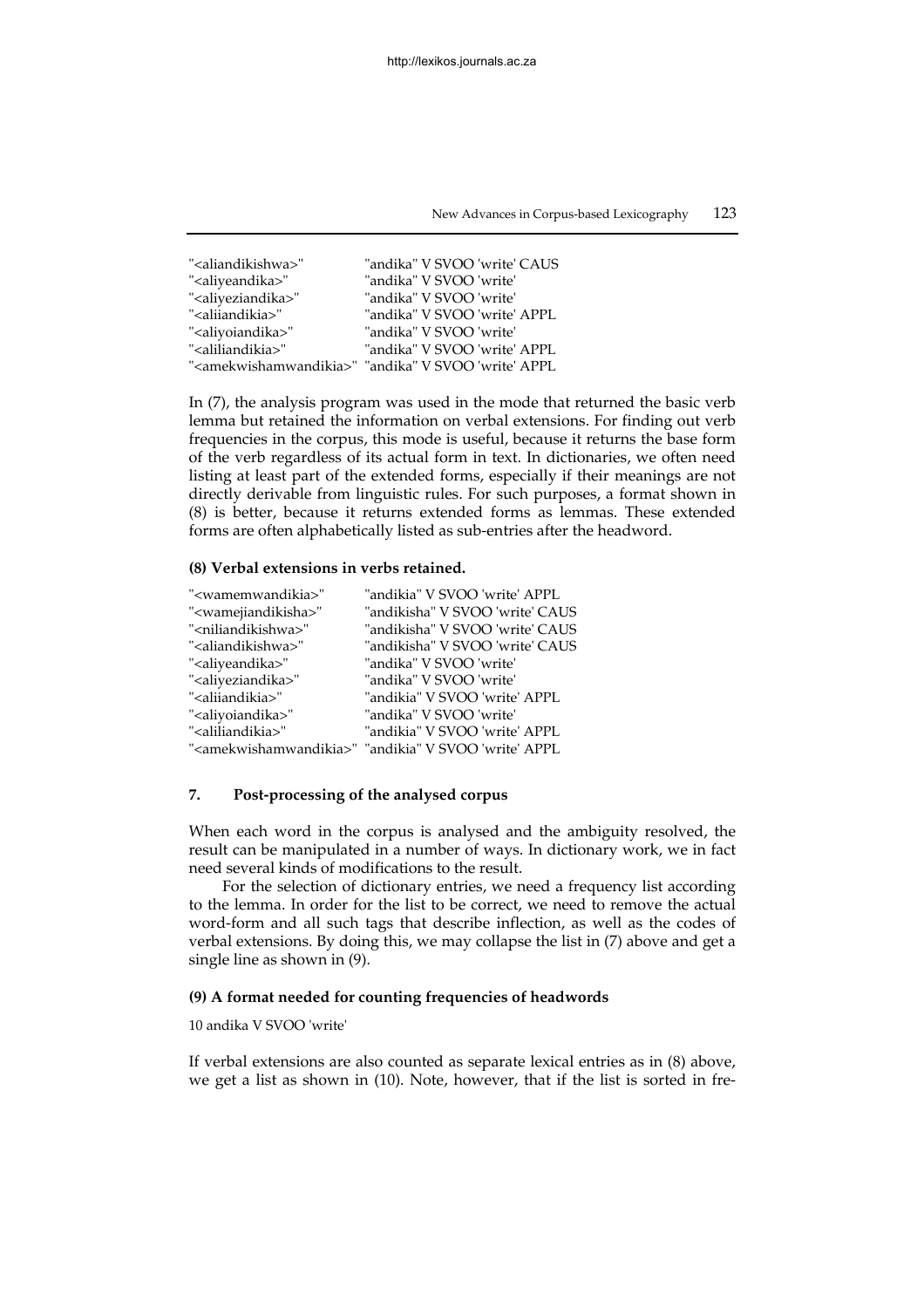| " <aliandikishwa>"</aliandikishwa> | "andika" V SVOO 'write' CAUS                                              |
|------------------------------------|---------------------------------------------------------------------------|
| " <aliyeandika>"</aliyeandika>     | "andika" V SVOO 'write'                                                   |
| " <aliyeziandika>"</aliyeziandika> | "andika" V SVOO 'write'                                                   |
| " <aliiandikia>"</aliiandikia>     | "andika" V SVOO 'write' APPL                                              |
| " <aliyoiandika>"</aliyoiandika>   | "andika" V SVOO 'write'                                                   |
| " <aliliandikia>"</aliliandikia>   | "andika" V SVOO 'write' APPL                                              |
|                                    | " <amekwishamwandikia>" "andika" V SVOO 'write' APPL</amekwishamwandikia> |

In (7), the analysis program was used in the mode that returned the basic verb lemma but retained the information on verbal extensions. For finding out verb frequencies in the corpus, this mode is useful, because it returns the base form of the verb regardless of its actual form in text. In dictionaries, we often need listing at least part of the extended forms, especially if their meanings are not directly derivable from linguistic rules. For such purposes, a format shown in (8) is better, because it returns extended forms as lemmas. These extended forms are often alphabetically listed as sub-entries after the headword.

# **(8) Verbal extensions in verbs retained.**

| " <wamemwandikia>"</wamemwandikia>     | "andikia" V SVOO 'write' APPL                                              |
|----------------------------------------|----------------------------------------------------------------------------|
| " <wamejiandikisha>"</wamejiandikisha> | "andikisha" V SVOO 'write' CAUS                                            |
| " <niliandikishwa>"</niliandikishwa>   | "andikisha" V SVOO 'write' CAUS                                            |
| " <aliandikishwa>"</aliandikishwa>     | "andikisha" V SVOO 'write' CAUS                                            |
| " <aliyeandika>"</aliyeandika>         | "andika" V SVOO 'write'                                                    |
| " <aliyeziandika>"</aliyeziandika>     | "andika" V SVOO 'write'                                                    |
| " <aliiandikia>"</aliiandikia>         | "andikia" V SVOO 'write' APPL                                              |
| " <aliyoiandika>"</aliyoiandika>       | "andika" V SVOO 'write'                                                    |
| " <aliliandikia>"</aliliandikia>       | "andikia" V SVOO 'write' APPL                                              |
|                                        | " <amekwishamwandikia>" "andikia" V SVOO 'write' APPL</amekwishamwandikia> |

# **7. Post-processing of the analysed corpus**

When each word in the corpus is analysed and the ambiguity resolved, the result can be manipulated in a number of ways. In dictionary work, we in fact need several kinds of modifications to the result.

For the selection of dictionary entries, we need a frequency list according to the lemma. In order for the list to be correct, we need to remove the actual word-form and all such tags that describe inflection, as well as the codes of verbal extensions. By doing this, we may collapse the list in (7) above and get a single line as shown in (9).

#### **(9) A format needed for counting frequencies of headwords**

10 andika V SVOO 'write'

If verbal extensions are also counted as separate lexical entries as in (8) above, we get a list as shown in (10). Note, however, that if the list is sorted in fre-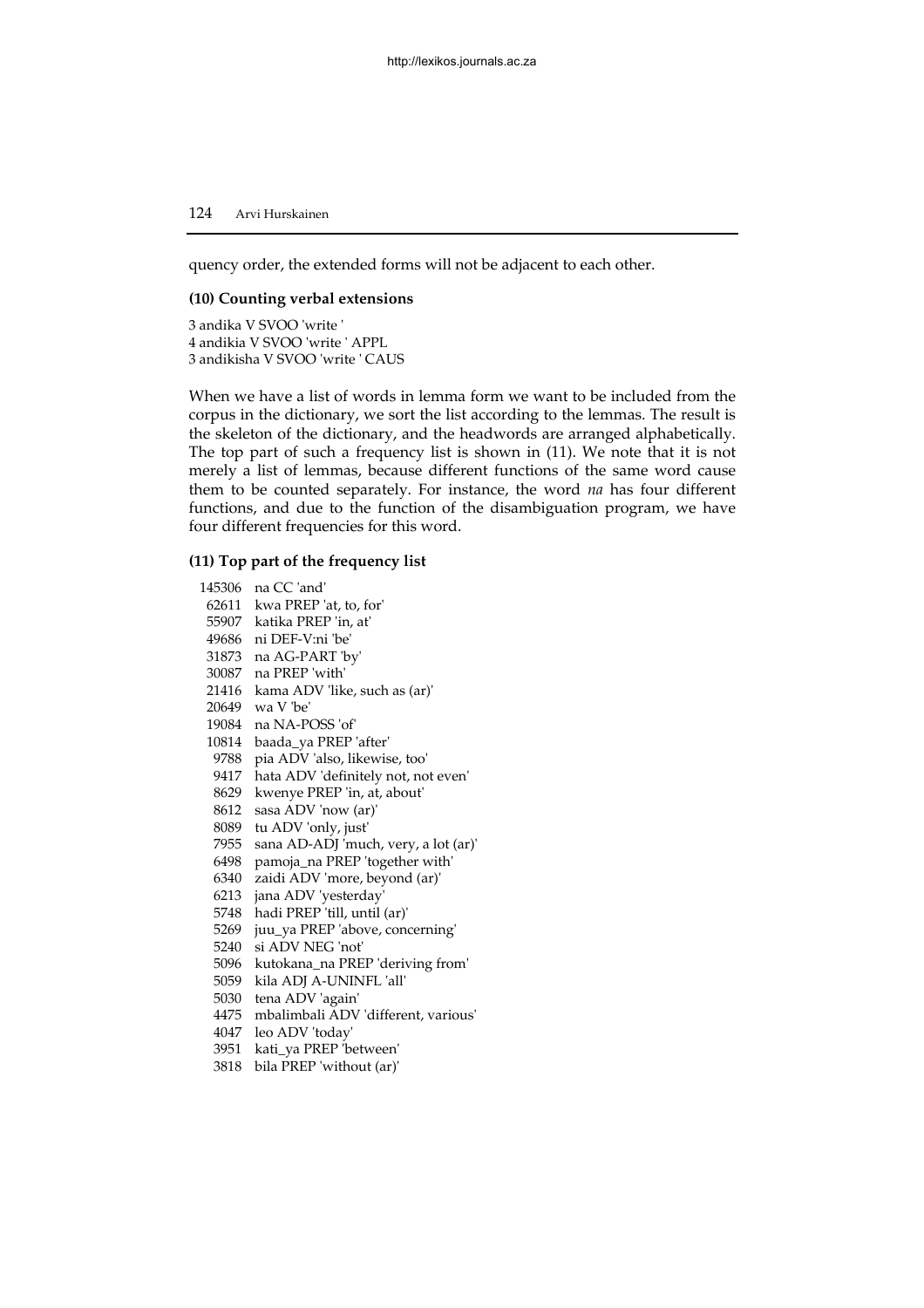quency order, the extended forms will not be adjacent to each other.

## **(10) Counting verbal extensions**

3 andika V SVOO 'write ' 4 andikia V SVOO 'write ' APPL 3 andikisha V SVOO 'write ' CAUS

When we have a list of words in lemma form we want to be included from the corpus in the dictionary, we sort the list according to the lemmas. The result is the skeleton of the dictionary, and the headwords are arranged alphabetically. The top part of such a frequency list is shown in (11). We note that it is not merely a list of lemmas, because different functions of the same word cause them to be counted separately. For instance, the word *na* has four different functions, and due to the function of the disambiguation program, we have four different frequencies for this word.

#### **(11) Top part of the frequency list**

| 145306 | na CC 'and'                          |
|--------|--------------------------------------|
|        | 62611 kwa PREP 'at, to, for'         |
| 55907  | katika PREP 'in, at'                 |
| 49686  | ni DEF-V:ni 'be'                     |
|        | 31873 na AG-PART 'by'                |
| 30087  | na PREP 'with'                       |
|        | 21416 kama ADV 'like, such as (ar)'  |
|        | 20649 wa V 'be'                      |
|        | 19084 na NA-POSS 'of'                |
| 10814  | baada_ya PREP 'after'                |
| 9788   | pia ADV 'also, likewise, too'        |
| 9417   | hata ADV 'definitely not, not even'  |
| 8629   | kwenye PREP 'in, at, about'          |
| 8612   | sasa ADV 'now (ar)'                  |
| 8089   | tu ADV 'only, just'                  |
| 7955   | sana AD-ADJ 'much, very, a lot (ar)' |
| 6498   | pamoja_na PREP 'together with'       |
| 6340   | zaidi ADV 'more, beyond (ar)'        |
| 6213   | jana ADV 'yesterday'                 |
| 5748   | hadi PREP 'till, until (ar)'         |
| 5269   | juu_ya PREP 'above, concerning'      |
| 5240   | si ADV NEG 'not'                     |
| 5096   | kutokana_na PREP 'deriving from'     |
| 5059   | kila ADJ A-UNINFL 'all'              |
| 5030   | tena ADV 'again'                     |
| 4475   | mbalimbali ADV 'different, various'  |
| 4047   | leo ADV 'today'                      |
| 3951   | kati_ya PREP 'between'               |
| 3818   | bila PREP 'without (ar)'             |
|        |                                      |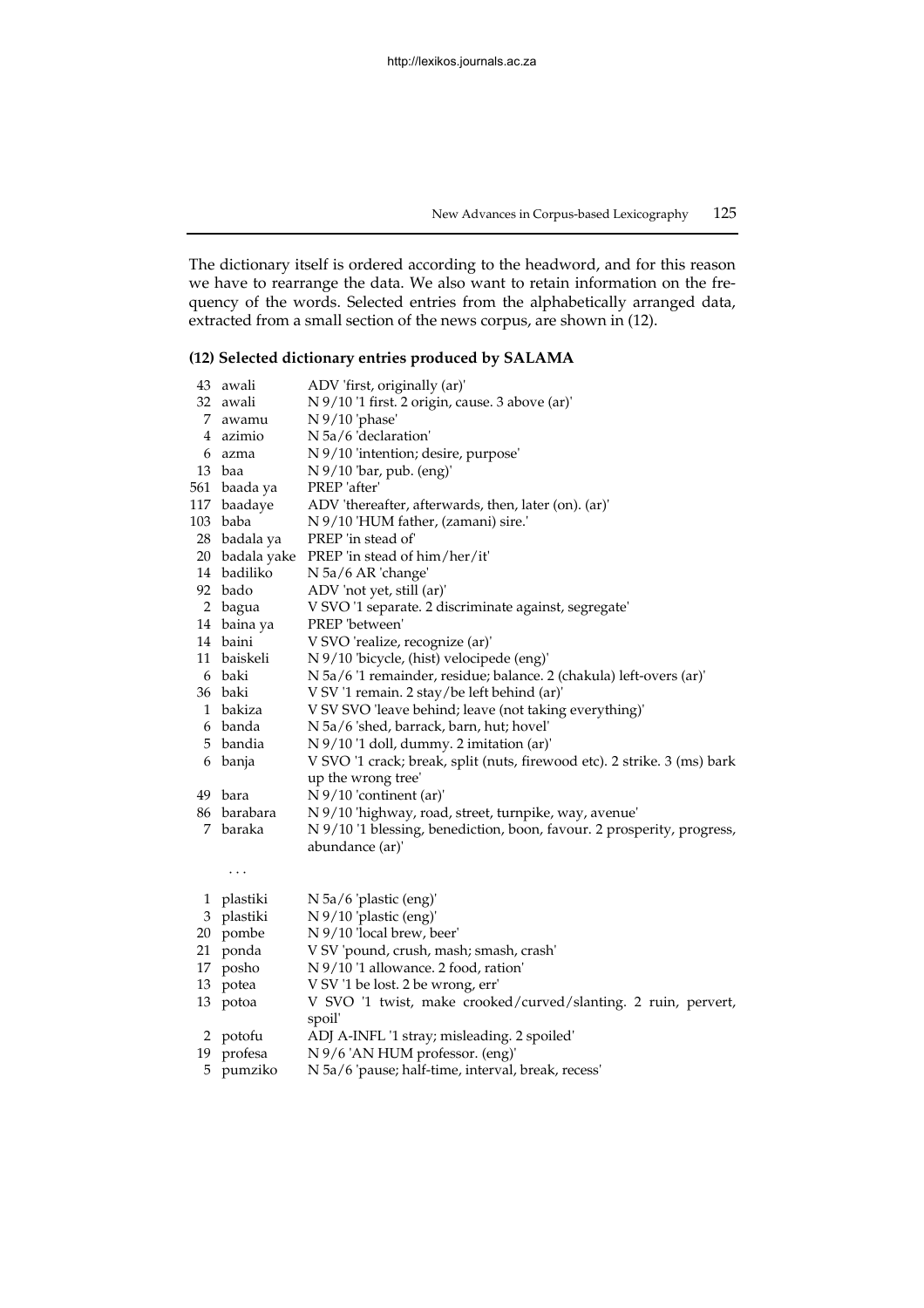The dictionary itself is ordered according to the headword, and for this reason we have to rearrange the data. We also want to retain information on the frequency of the words. Selected entries from the alphabetically arranged data, extracted from a small section of the news corpus, are shown in (12).

# **(12) Selected dictionary entries produced by SALAMA**

| 43  | awali          | ADV 'first, originally (ar)'                                             |
|-----|----------------|--------------------------------------------------------------------------|
| 32  | awali          | N 9/10 '1 first. 2 origin, cause. 3 above (ar)'                          |
| 7   | awamu          | $N$ 9/10 'phase'                                                         |
|     | 4 azimio       | N 5a/6 'declaration'                                                     |
| 6   | azma           | N 9/10 'intention; desire, purpose'                                      |
| 13  | baa            | $N$ 9/10 'bar, pub. (eng)'                                               |
| 561 | baada ya       | PREP 'after'                                                             |
| 117 | baadaye        | ADV 'thereafter, afterwards, then, later (on). (ar)'                     |
| 103 | baba           | N 9/10 'HUM father, (zamani) sire.'                                      |
| 28  | badala ya      | PREP 'in stead of'                                                       |
|     | 20 badala yake | PREP 'in stead of him/her/it'                                            |
|     | 14 badiliko    | N 5a/6 AR 'change'                                                       |
|     | 92 bado        | ADV 'not yet, still (ar)'                                                |
|     | 2 bagua        | V SVO '1 separate. 2 discriminate against, segregate'                    |
|     | 14 baina ya    | PREP 'between'                                                           |
|     | 14 baini       | V SVO 'realize, recognize (ar)'                                          |
|     | 11 baiskeli    | N 9/10 'bicycle, (hist) velocipede (eng)'                                |
|     | 6 baki         | N 5a/6 '1 remainder, residue; balance. 2 (chakula) left-overs (ar)'      |
|     | 36 baki        | V SV '1 remain. 2 stay/be left behind (ar)'                              |
| 1   | bakiza         | V SV SVO 'leave behind; leave (not taking everything)'                   |
|     | 6 banda        | N 5a/6 'shed, barrack, barn, hut; hovel'                                 |
|     | 5 bandia       | N 9/10 '1 doll, dummy. 2 imitation (ar)'                                 |
| 6   | banja          | V SVO '1 crack; break, split (nuts, firewood etc). 2 strike. 3 (ms) bark |
|     |                | up the wrong tree'                                                       |
|     | 49 bara        | $N$ 9/10 'continent (ar)'                                                |
|     | 86 barabara    | N 9/10 'highway, road, street, turnpike, way, avenue'                    |
| 7   | baraka         | N 9/10 '1 blessing, benediction, boon, favour. 2 prosperity, progress,   |
|     |                | abundance (ar)'                                                          |
|     |                |                                                                          |
|     |                |                                                                          |

| 1  | plastiki   | $N$ 5a/6 'plastic (eng)'                                       |
|----|------------|----------------------------------------------------------------|
|    | 3 plastiki | $N$ 9/10 'plastic (eng)'                                       |
|    | 20 pombe   | N 9/10 'local brew, beer'                                      |
|    | 21 ponda   | V SV 'pound, crush, mash; smash, crash'                        |
|    | 17 posho   | N 9/10 '1 allowance. 2 food, ration'                           |
|    | 13 potea   | V SV '1 be lost. 2 be wrong, err'                              |
|    | 13 potoa   | V SVO '1 twist, make crooked/curved/slanting. 2 ruin, pervert, |
|    |            | spoil'                                                         |
|    | 2 potofu   | ADJ A-INFL '1 stray; misleading. 2 spoiled'                    |
|    | 19 profesa | N 9/6 'AN HUM professor. (eng)'                                |
| 5. | pumziko    | N 5a/6 'pause; half-time, interval, break, recess'             |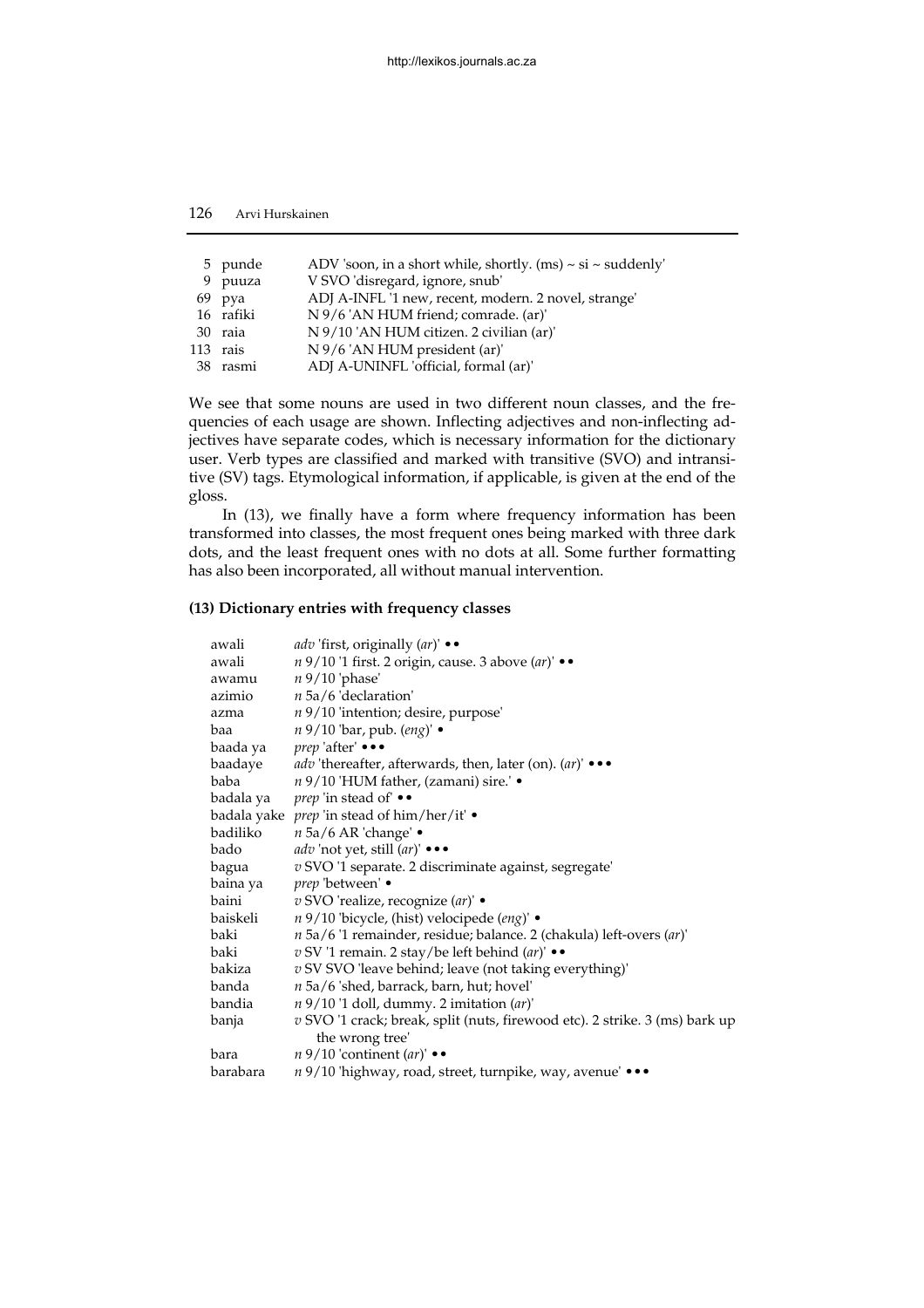| 5 punde   | ADV 'soon, in a short while, shortly. (ms) $\sim$ si $\sim$ suddenly' |
|-----------|-----------------------------------------------------------------------|
| 9 puuza   | V SVO 'disregard, ignore, snub'                                       |
| $69$ pya  | ADJ A-INFL '1 new, recent, modern. 2 novel, strange'                  |
| 16 rafiki | N 9/6 'AN HUM friend; comrade. (ar)'                                  |
| 30 raia   | N 9/10 'AN HUM citizen. 2 civilian (ar)'                              |
| 113 rais  | N 9/6 'AN HUM president (ar)'                                         |
| 38 rasmi  | ADJ A-UNINFL 'official, formal (ar)'                                  |
|           |                                                                       |

We see that some nouns are used in two different noun classes, and the frequencies of each usage are shown. Inflecting adjectives and non-inflecting adjectives have separate codes, which is necessary information for the dictionary user. Verb types are classified and marked with transitive (SVO) and intransitive (SV) tags. Etymological information, if applicable, is given at the end of the gloss.

In (13), we finally have a form where frequency information has been transformed into classes, the most frequent ones being marked with three dark dots, and the least frequent ones with no dots at all. Some further formatting has also been incorporated, all without manual intervention.

# **(13) Dictionary entries with frequency classes**

| awali     | adv 'first, originally $(ar)' \bullet \bullet$                                    |
|-----------|-----------------------------------------------------------------------------------|
| awali     | $n9/10$ '1 first. 2 origin, cause. 3 above $(ar)$ ' ••                            |
| awamu     | $n9/10$ 'phase'                                                                   |
| azimio    | $n 5a/6$ 'declaration'                                                            |
| azma      | $n$ 9/10 'intention; desire, purpose'                                             |
| baa       | $n9/10$ 'bar, pub. (eng)' •                                                       |
| baada ya  | prep 'after' •••                                                                  |
| baadaye   | <i>adv</i> 'thereafter, afterwards, then, later (on). $(ar)' \rightarrow \bullet$ |
| baba      | $n$ 9/10 'HUM father, (zamani) sire.' $\bullet$                                   |
| badala ya | <i>prep</i> 'in stead of' ••                                                      |
|           | badala yake prep 'in stead of him/her/it' •                                       |
| badiliko  | $n 5a/6 AR$ 'change' $\bullet$                                                    |
| bado      | $adv$ 'not yet, still $(ar)$ ' •••                                                |
| bagua     | $v$ SVO '1 separate. 2 discriminate against, segregate'                           |
| baina ya  | prep 'between' •                                                                  |
| baini     | $v$ SVO 'realize, recognize $(ar)$ ' •                                            |
| baiskeli  | n 9/10 'bicycle, (hist) velocipede (eng)' •                                       |
| baki      | $n 5a/6$ '1 remainder, residue; balance. 2 (chakula) left-overs $(ar)'$           |
| baki      | $v$ SV '1 remain. 2 stay/be left behind $(ar)'$ .                                 |
| bakiza    | v SV SVO 'leave behind; leave (not taking everything)'                            |
| banda     | $n 5a/6$ shed, barrack, barn, hut; hovel                                          |
| bandia    | $n$ 9/10 '1 doll, dummy. 2 imitation $(ar)'$                                      |
| banja     | v SVO '1 crack; break, split (nuts, firewood etc). 2 strike. 3 (ms) bark up       |
|           | the wrong tree'                                                                   |
| bara      | $n9/10$ 'continent (ar)' ••                                                       |
| barabara  | n 9/10 'highway, road, street, turnpike, way, avenue' •••                         |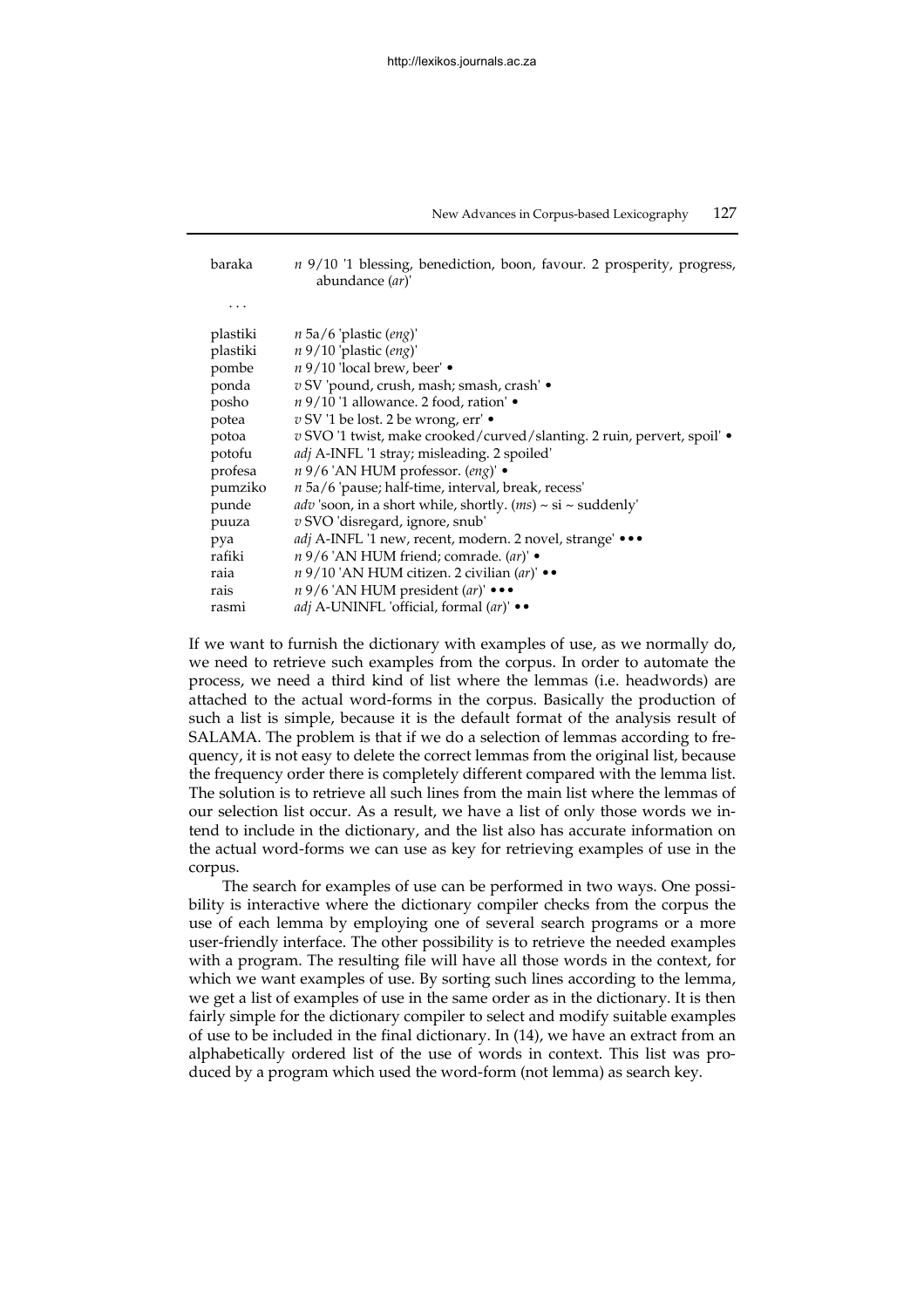| $n \frac{9}{10}$ '1 blessing, benediction, boon, favour. 2 prosperity, progress,<br>abundance (ar)' |
|-----------------------------------------------------------------------------------------------------|
|                                                                                                     |
| $n 5a/6$ 'plastic (eng)'                                                                            |
| $n \frac{9}{10}$ 'plastic (eng)'                                                                    |
| $n9/10$ 'local brew, beer' •                                                                        |
| $v$ SV 'pound, crush, mash; smash, crash' $\bullet$                                                 |
| $n$ 9/10 '1 allowance. 2 food, ration' $\bullet$                                                    |
| $v$ SV '1 be lost. 2 be wrong, err' $\bullet$                                                       |
| v SVO '1 twist, make crooked/curved/slanting. 2 ruin, pervert, spoil' •                             |
| adj A-INFL '1 stray; misleading. 2 spoiled'                                                         |
| $n9/6$ 'AN HUM professor. (eng)' •                                                                  |
| $n 5a/6$ 'pause; half-time, interval, break, recess'                                                |
| <i>adv</i> 'soon, in a short while, shortly. ( <i>ms</i> ) $\sim$ si $\sim$ suddenly'               |
| $v$ SVO 'disregard, ignore, snub'                                                                   |
| <i>adj</i> A-INFL '1 new, recent, modern. 2 novel, strange' •••                                     |
| $n$ 9/6 'AN HUM friend; comrade. (ar)' $\bullet$                                                    |
| $n9/10$ 'AN HUM citizen. 2 civilian (ar)' ••                                                        |
| $n$ 9/6 'AN HUM president $(ar)$ ' •••                                                              |
| <i>adj</i> A-UNINFL 'official, formal $(ar)'$ ••                                                    |
|                                                                                                     |

If we want to furnish the dictionary with examples of use, as we normally do, we need to retrieve such examples from the corpus. In order to automate the process, we need a third kind of list where the lemmas (i.e. headwords) are attached to the actual word-forms in the corpus. Basically the production of such a list is simple, because it is the default format of the analysis result of SALAMA. The problem is that if we do a selection of lemmas according to frequency, it is not easy to delete the correct lemmas from the original list, because the frequency order there is completely different compared with the lemma list. The solution is to retrieve all such lines from the main list where the lemmas of our selection list occur. As a result, we have a list of only those words we intend to include in the dictionary, and the list also has accurate information on the actual word-forms we can use as key for retrieving examples of use in the corpus.

The search for examples of use can be performed in two ways. One possibility is interactive where the dictionary compiler checks from the corpus the use of each lemma by employing one of several search programs or a more user-friendly interface. The other possibility is to retrieve the needed examples with a program. The resulting file will have all those words in the context, for which we want examples of use. By sorting such lines according to the lemma, we get a list of examples of use in the same order as in the dictionary. It is then fairly simple for the dictionary compiler to select and modify suitable examples of use to be included in the final dictionary. In (14), we have an extract from an alphabetically ordered list of the use of words in context. This list was produced by a program which used the word-form (not lemma) as search key.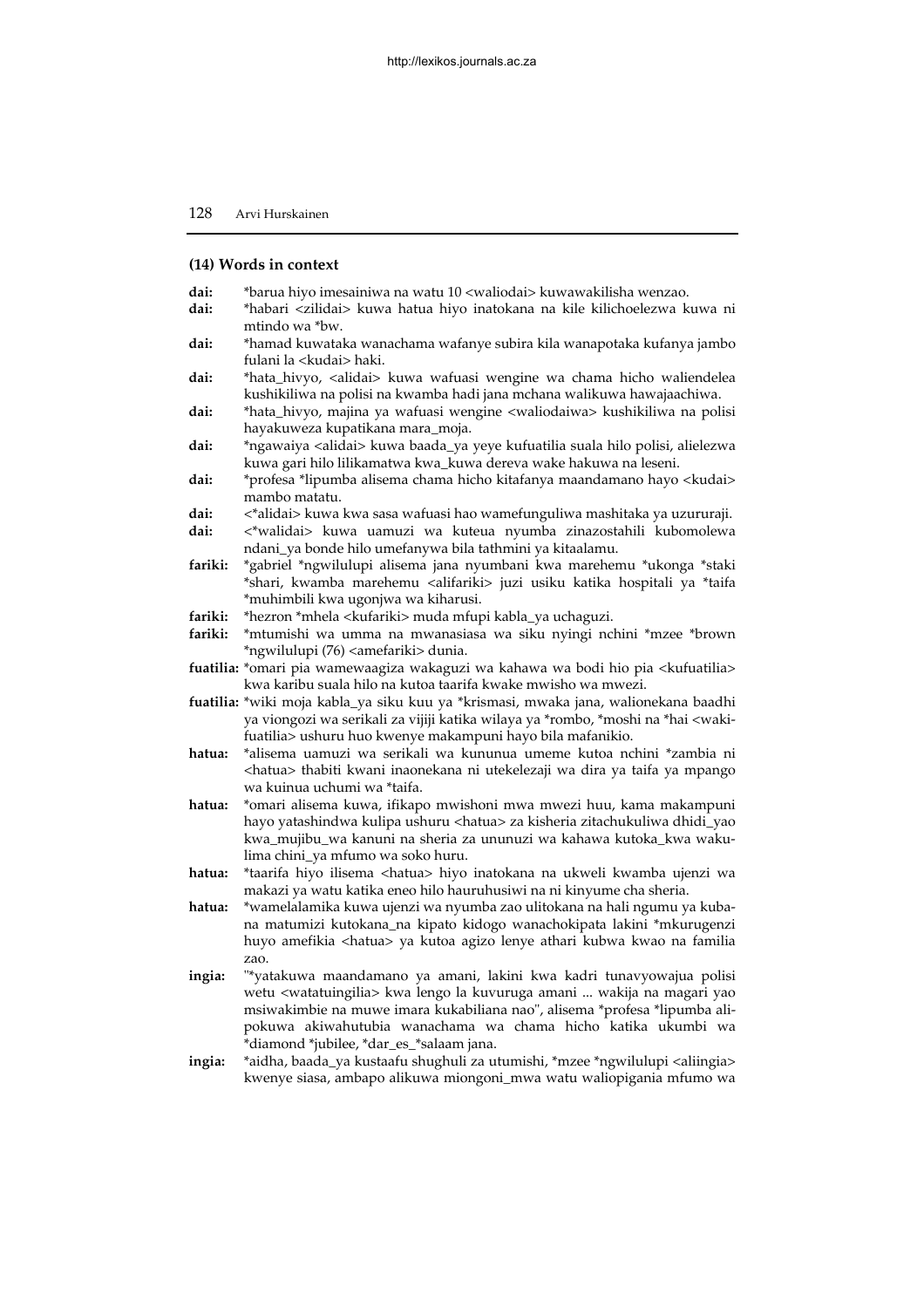#### **(14) Words in context**

- **dai:** \*barua hiyo imesainiwa na watu 10 <waliodai> kuwawakilisha wenzao.
- **dai:** \*habari <zilidai> kuwa hatua hiyo inatokana na kile kilichoelezwa kuwa ni mtindo wa \*bw.
- **dai:** \*hamad kuwataka wanachama wafanye subira kila wanapotaka kufanya jambo fulani la <kudai> haki.
- **dai:** \*hata\_hivyo, <alidai> kuwa wafuasi wengine wa chama hicho waliendelea kushikiliwa na polisi na kwamba hadi jana mchana walikuwa hawajaachiwa.
- **dai:** \*hata\_hivyo, majina ya wafuasi wengine <waliodaiwa> kushikiliwa na polisi hayakuweza kupatikana mara\_moja.
- **dai:** \*ngawaiya <alidai> kuwa baada\_ya yeye kufuatilia suala hilo polisi, alielezwa kuwa gari hilo lilikamatwa kwa\_kuwa dereva wake hakuwa na leseni.
- **dai:** \*profesa \*lipumba alisema chama hicho kitafanya maandamano hayo <kudai> mambo matatu.
- **dai:** <\*alidai> kuwa kwa sasa wafuasi hao wamefunguliwa mashitaka ya uzururaji.
- **dai:** <\*walidai> kuwa uamuzi wa kuteua nyumba zinazostahili kubomolewa ndani\_ya bonde hilo umefanywa bila tathmini ya kitaalamu.
- **fariki:** \*gabriel \*ngwilulupi alisema jana nyumbani kwa marehemu \*ukonga \*staki \*shari, kwamba marehemu <alifariki> juzi usiku katika hospitali ya \*taifa \*muhimbili kwa ugonjwa wa kiharusi.
- **fariki:** \*hezron \*mhela <kufariki> muda mfupi kabla\_ya uchaguzi.
- **fariki:** \*mtumishi wa umma na mwanasiasa wa siku nyingi nchini \*mzee \*brown \*ngwilulupi (76) <amefariki> dunia.
- **fuatilia:** \*omari pia wamewaagiza wakaguzi wa kahawa wa bodi hio pia <kufuatilia> kwa karibu suala hilo na kutoa taarifa kwake mwisho wa mwezi.
- **fuatilia:** \*wiki moja kabla\_ya siku kuu ya \*krismasi, mwaka jana, walionekana baadhi ya viongozi wa serikali za vijiji katika wilaya ya \*rombo, \*moshi na \*hai <wakifuatilia> ushuru huo kwenye makampuni hayo bila mafanikio.
- **hatua:** \*alisema uamuzi wa serikali wa kununua umeme kutoa nchini \*zambia ni <hatua> thabiti kwani inaonekana ni utekelezaji wa dira ya taifa ya mpango wa kuinua uchumi wa \*taifa.
- **hatua:** \*omari alisema kuwa, ifikapo mwishoni mwa mwezi huu, kama makampuni hayo yatashindwa kulipa ushuru <hatua> za kisheria zitachukuliwa dhidi\_yao kwa\_mujibu\_wa kanuni na sheria za ununuzi wa kahawa kutoka\_kwa wakulima chini\_ya mfumo wa soko huru.
- **hatua:** \*taarifa hiyo ilisema <hatua> hiyo inatokana na ukweli kwamba ujenzi wa makazi ya watu katika eneo hilo hauruhusiwi na ni kinyume cha sheria.
- **hatua:** \*wamelalamika kuwa ujenzi wa nyumba zao ulitokana na hali ngumu ya kubana matumizi kutokana\_na kipato kidogo wanachokipata lakini \*mkurugenzi huyo amefikia <hatua> ya kutoa agizo lenye athari kubwa kwao na familia zao.
- **ingia:** "\*yatakuwa maandamano ya amani, lakini kwa kadri tunavyowajua polisi wetu <watatuingilia> kwa lengo la kuvuruga amani ... wakija na magari yao msiwakimbie na muwe imara kukabiliana nao", alisema \*profesa \*lipumba alipokuwa akiwahutubia wanachama wa chama hicho katika ukumbi wa \*diamond \*jubilee, \*dar\_es\_\*salaam jana.
- **ingia:** \*aidha, baada\_ya kustaafu shughuli za utumishi, \*mzee \*ngwilulupi <aliingia> kwenye siasa, ambapo alikuwa miongoni\_mwa watu waliopigania mfumo wa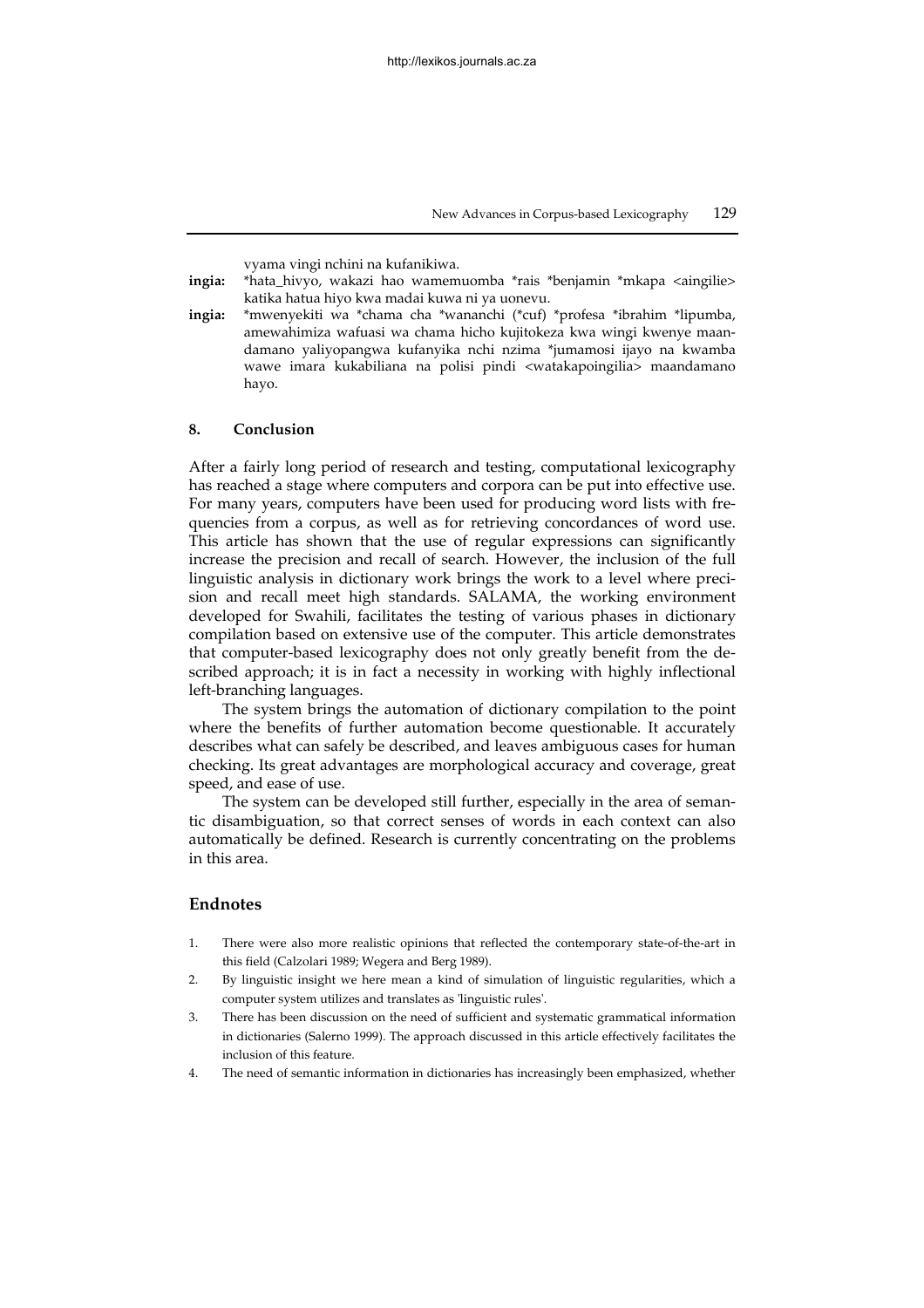vyama vingi nchini na kufanikiwa.

- **ingia:** \*hata\_hivyo, wakazi hao wamemuomba \*rais \*benjamin \*mkapa <aingilie> katika hatua hiyo kwa madai kuwa ni ya uonevu.
- **ingia:** \*mwenyekiti wa \*chama cha \*wananchi (\*cuf) \*profesa \*ibrahim \*lipumba, amewahimiza wafuasi wa chama hicho kujitokeza kwa wingi kwenye maandamano yaliyopangwa kufanyika nchi nzima \*jumamosi ijayo na kwamba wawe imara kukabiliana na polisi pindi <watakapoingilia> maandamano hayo.

#### **8. Conclusion**

After a fairly long period of research and testing, computational lexicography has reached a stage where computers and corpora can be put into effective use. For many years, computers have been used for producing word lists with frequencies from a corpus, as well as for retrieving concordances of word use. This article has shown that the use of regular expressions can significantly increase the precision and recall of search. However, the inclusion of the full linguistic analysis in dictionary work brings the work to a level where precision and recall meet high standards. SALAMA, the working environment developed for Swahili, facilitates the testing of various phases in dictionary compilation based on extensive use of the computer. This article demonstrates that computer-based lexicography does not only greatly benefit from the described approach; it is in fact a necessity in working with highly inflectional left-branching languages.

The system brings the automation of dictionary compilation to the point where the benefits of further automation become questionable. It accurately describes what can safely be described, and leaves ambiguous cases for human checking. Its great advantages are morphological accuracy and coverage, great speed, and ease of use.

The system can be developed still further, especially in the area of semantic disambiguation, so that correct senses of words in each context can also automatically be defined. Research is currently concentrating on the problems in this area.

## **Endnotes**

- 1. There were also more realistic opinions that reflected the contemporary state-of-the-art in this field (Calzolari 1989; Wegera and Berg 1989).
- 2. By linguistic insight we here mean a kind of simulation of linguistic regularities, which a computer system utilizes and translates as 'linguistic rules'.
- 3. There has been discussion on the need of sufficient and systematic grammatical information in dictionaries (Salerno 1999). The approach discussed in this article effectively facilitates the inclusion of this feature.
- 4. The need of semantic information in dictionaries has increasingly been emphasized, whether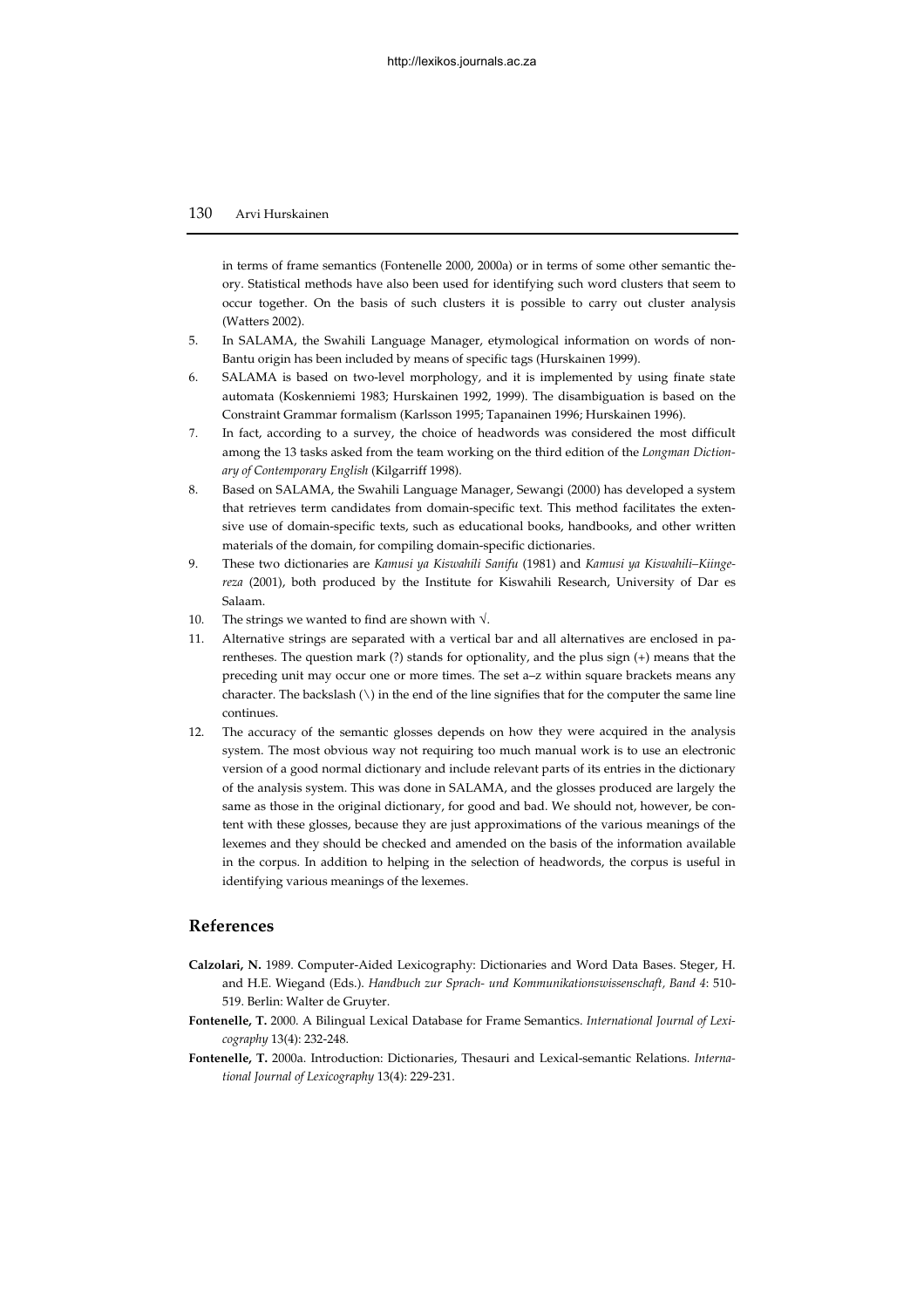in terms of frame semantics (Fontenelle 2000, 2000a) or in terms of some other semantic theory. Statistical methods have also been used for identifying such word clusters that seem to occur together. On the basis of such clusters it is possible to carry out cluster analysis (Watters 2002).

- 5. In SALAMA, the Swahili Language Manager, etymological information on words of non-Bantu origin has been included by means of specific tags (Hurskainen 1999).
- 6. SALAMA is based on two-level morphology, and it is implemented by using finate state automata (Koskenniemi 1983; Hurskainen 1992, 1999). The disambiguation is based on the Constraint Grammar formalism (Karlsson 1995; Tapanainen 1996; Hurskainen 1996).
- 7. In fact, according to a survey, the choice of headwords was considered the most difficult among the 13 tasks asked from the team working on the third edition of the *Longman Dictionary of Contemporary English* (Kilgarriff 1998).
- 8. Based on SALAMA, the Swahili Language Manager, Sewangi (2000) has developed a system that retrieves term candidates from domain-specific text. This method facilitates the extensive use of domain-specific texts, such as educational books, handbooks, and other written materials of the domain, for compiling domain-specific dictionaries.
- 9. These two dictionaries are *Kamusi ya Kiswahili Sanifu* (1981) and *Kamusi ya Kiswahili–Kiingereza* (2001), both produced by the Institute for Kiswahili Research, University of Dar es Salaam.
- 10. The strings we wanted to find are shown with  $\sqrt{ }$ .
- 11. Alternative strings are separated with a vertical bar and all alternatives are enclosed in parentheses. The question mark (?) stands for optionality, and the plus sign (+) means that the preceding unit may occur one or more times. The set a–z within square brackets means any character. The backslash  $(\setminus)$  in the end of the line signifies that for the computer the same line continues.
- 12. The accuracy of the semantic glosses depends on how they were acquired in the analysis system. The most obvious way not requiring too much manual work is to use an electronic version of a good normal dictionary and include relevant parts of its entries in the dictionary of the analysis system. This was done in SALAMA, and the glosses produced are largely the same as those in the original dictionary, for good and bad. We should not, however, be content with these glosses, because they are just approximations of the various meanings of the lexemes and they should be checked and amended on the basis of the information available in the corpus. In addition to helping in the selection of headwords, the corpus is useful in identifying various meanings of the lexemes.

# **References**

- **Calzolari, N.** 1989. Computer-Aided Lexicography: Dictionaries and Word Data Bases. Steger, H. and H.E. Wiegand (Eds.). *Handbuch zur Sprach- und Kommunikationswissenschaft, Band 4*: 510- 519. Berlin: Walter de Gruyter.
- **Fontenelle, T.** 2000. A Bilingual Lexical Database for Frame Semantics. *International Journal of Lexicography* 13(4): 232-248.
- **Fontenelle, T.** 2000a. Introduction: Dictionaries, Thesauri and Lexical-semantic Relations. *International Journal of Lexicography* 13(4): 229-231.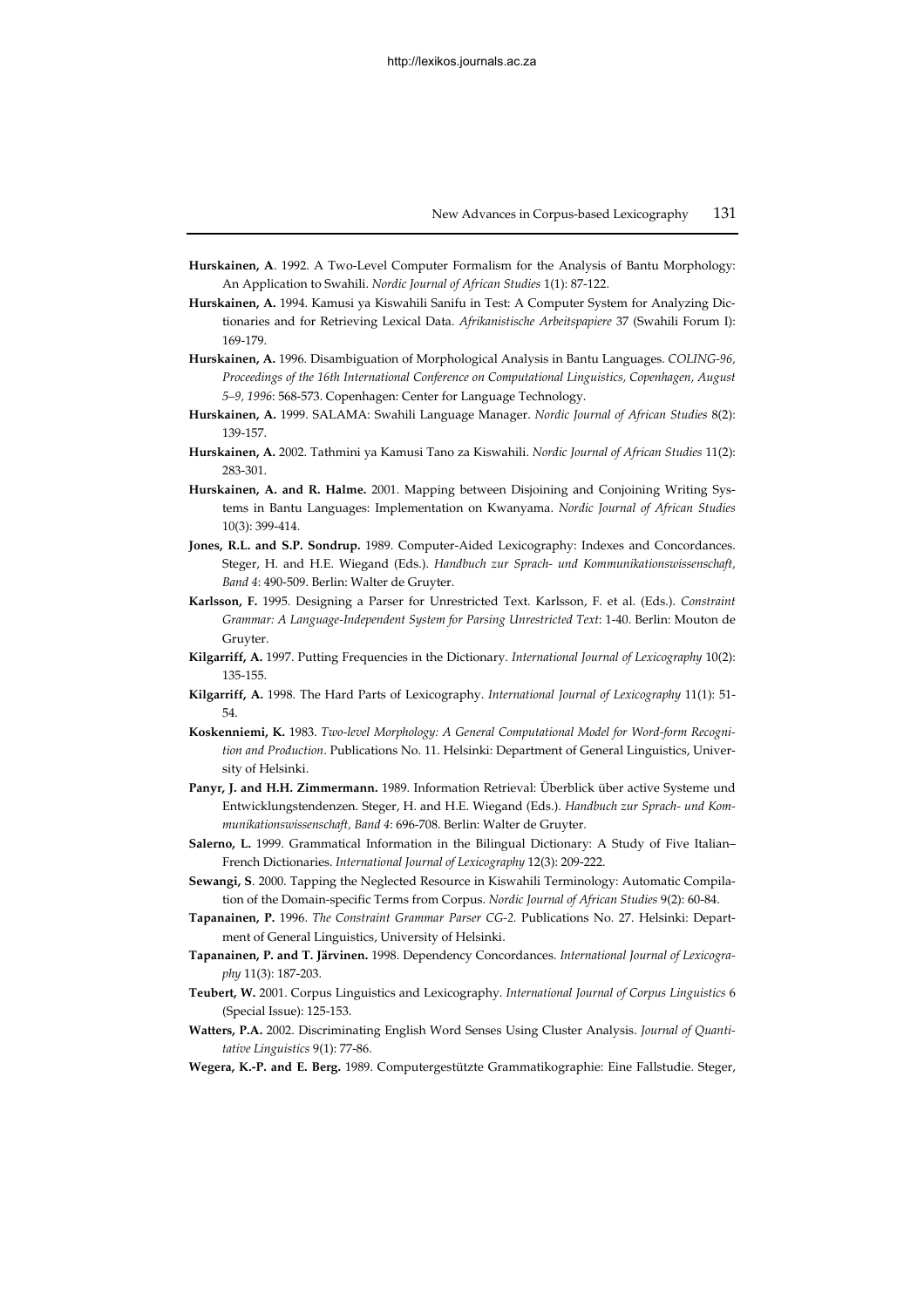- **Hurskainen, A**. 1992. A Two-Level Computer Formalism for the Analysis of Bantu Morphology: An Application to Swahili. *Nordic Journal of African Studies* 1(1): 87-122.
- **Hurskainen, A.** 1994. Kamusi ya Kiswahili Sanifu in Test: A Computer System for Analyzing Dictionaries and for Retrieving Lexical Data. *Afrikanistische Arbeitspapiere* 37 (Swahili Forum I): 169-179.
- **Hurskainen, A.** 1996. Disambiguation of Morphological Analysis in Bantu Languages. *COLING-96, Proceedings of the 16th International Conference on Computational Linguistics, Copenhagen, August 5–9, 1996*: 568-573. Copenhagen: Center for Language Technology.
- **Hurskainen, A.** 1999. SALAMA: Swahili Language Manager. *Nordic Journal of African Studies* 8(2): 139-157.
- **Hurskainen, A.** 2002. Tathmini ya Kamusi Tano za Kiswahili. *Nordic Journal of African Studies* 11(2): 283-301.
- **Hurskainen, A. and R. Halme.** 2001. Mapping between Disjoining and Conjoining Writing Systems in Bantu Languages: Implementation on Kwanyama. *Nordic Journal of African Studies* 10(3): 399-414.
- **Jones, R.L. and S.P. Sondrup.** 1989. Computer-Aided Lexicography: Indexes and Concordances. Steger, H. and H.E. Wiegand (Eds.). *Handbuch zur Sprach- und Kommunikationswissenschaft, Band 4*: 490-509. Berlin: Walter de Gruyter.
- **Karlsson, F.** 1995. Designing a Parser for Unrestricted Text. Karlsson, F. et al. (Eds.). *Constraint Grammar: A Language-Independent System for Parsing Unrestricted Text*: 1-40. Berlin: Mouton de Gruyter.
- **Kilgarriff, A.** 1997. Putting Frequencies in the Dictionary. *International Journal of Lexicography* 10(2): 135-155.
- **Kilgarriff, A.** 1998. The Hard Parts of Lexicography. *International Journal of Lexicography* 11(1): 51- 54.
- **Koskenniemi, K.** 1983. *Two-level Morphology: A General Computational Model for Word-form Recognition and Production*. Publications No. 11. Helsinki: Department of General Linguistics, University of Helsinki.
- **Panyr, J. and H.H. Zimmermann.** 1989. Information Retrieval: Überblick über active Systeme und Entwicklungstendenzen. Steger, H. and H.E. Wiegand (Eds.). *Handbuch zur Sprach- und Kommunikationswissenschaft, Band 4*: 696-708. Berlin: Walter de Gruyter.
- **Salerno, L.** 1999. Grammatical Information in the Bilingual Dictionary: A Study of Five Italian– French Dictionaries. *International Journal of Lexicography* 12(3): 209-222.
- **Sewangi, S**. 2000. Tapping the Neglected Resource in Kiswahili Terminology: Automatic Compilation of the Domain-specific Terms from Corpus. *Nordic Journal of African Studies* 9(2): 60-84.
- **Tapanainen, P.** 1996. *The Constraint Grammar Parser CG-2.* Publications No. 27. Helsinki: Department of General Linguistics, University of Helsinki.
- **Tapanainen, P. and T. Järvinen.** 1998. Dependency Concordances. *International Journal of Lexicography* 11(3): 187-203.
- **Teubert, W.** 2001. Corpus Linguistics and Lexicography. *International Journal of Corpus Linguistics* 6 (Special Issue): 125-153.
- **Watters, P.A.** 2002. Discriminating English Word Senses Using Cluster Analysis. *Journal of Quantitative Linguistics* 9(1): 77-86.
- **Wegera, K.-P. and E. Berg.** 1989. Computergestützte Grammatikographie: Eine Fallstudie. Steger,